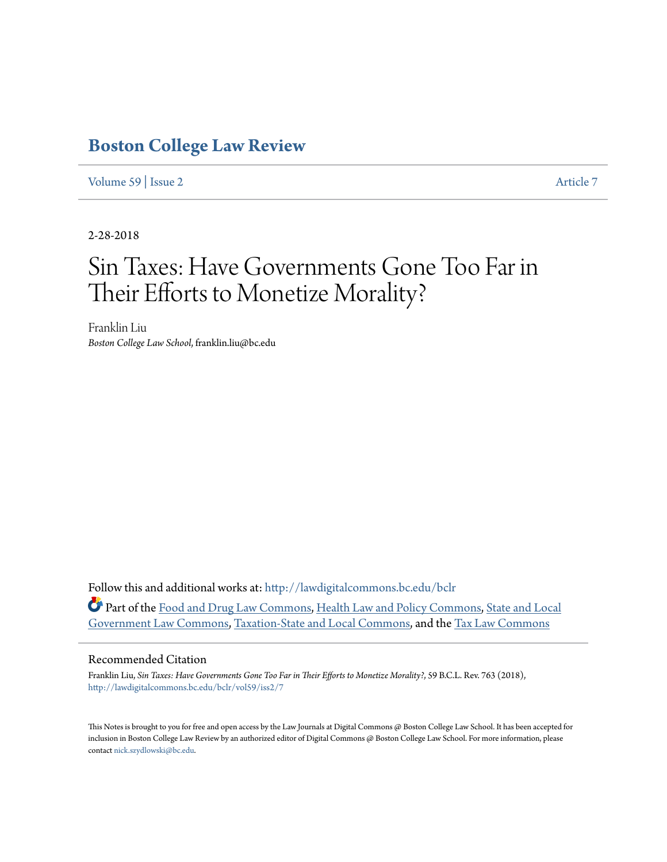# **[Boston College Law Review](http://lawdigitalcommons.bc.edu/bclr?utm_source=lawdigitalcommons.bc.edu%2Fbclr%2Fvol59%2Fiss2%2F7&utm_medium=PDF&utm_campaign=PDFCoverPages)**

[Volume 59](http://lawdigitalcommons.bc.edu/bclr/vol59?utm_source=lawdigitalcommons.bc.edu%2Fbclr%2Fvol59%2Fiss2%2F7&utm_medium=PDF&utm_campaign=PDFCoverPages) | [Issue 2](http://lawdigitalcommons.bc.edu/bclr/vol59/iss2?utm_source=lawdigitalcommons.bc.edu%2Fbclr%2Fvol59%2Fiss2%2F7&utm_medium=PDF&utm_campaign=PDFCoverPages) [Article 7](http://lawdigitalcommons.bc.edu/bclr/vol59/iss2/7?utm_source=lawdigitalcommons.bc.edu%2Fbclr%2Fvol59%2Fiss2%2F7&utm_medium=PDF&utm_campaign=PDFCoverPages)

2-28-2018

# Sin Taxes: Have Governments Gone Too Far in Their Efforts to Monetize Morality?

Franklin Liu *Boston College Law School*, franklin.liu@bc.edu

Follow this and additional works at: [http://lawdigitalcommons.bc.edu/bclr](http://lawdigitalcommons.bc.edu/bclr?utm_source=lawdigitalcommons.bc.edu%2Fbclr%2Fvol59%2Fiss2%2F7&utm_medium=PDF&utm_campaign=PDFCoverPages) Part of the [Food and Drug Law Commons,](http://network.bepress.com/hgg/discipline/844?utm_source=lawdigitalcommons.bc.edu%2Fbclr%2Fvol59%2Fiss2%2F7&utm_medium=PDF&utm_campaign=PDFCoverPages) [Health Law and Policy Commons,](http://network.bepress.com/hgg/discipline/901?utm_source=lawdigitalcommons.bc.edu%2Fbclr%2Fvol59%2Fiss2%2F7&utm_medium=PDF&utm_campaign=PDFCoverPages) [State and Local](http://network.bepress.com/hgg/discipline/879?utm_source=lawdigitalcommons.bc.edu%2Fbclr%2Fvol59%2Fiss2%2F7&utm_medium=PDF&utm_campaign=PDFCoverPages) [Government Law Commons](http://network.bepress.com/hgg/discipline/879?utm_source=lawdigitalcommons.bc.edu%2Fbclr%2Fvol59%2Fiss2%2F7&utm_medium=PDF&utm_campaign=PDFCoverPages), [Taxation-State and Local Commons,](http://network.bepress.com/hgg/discipline/882?utm_source=lawdigitalcommons.bc.edu%2Fbclr%2Fvol59%2Fiss2%2F7&utm_medium=PDF&utm_campaign=PDFCoverPages) and the [Tax Law Commons](http://network.bepress.com/hgg/discipline/898?utm_source=lawdigitalcommons.bc.edu%2Fbclr%2Fvol59%2Fiss2%2F7&utm_medium=PDF&utm_campaign=PDFCoverPages)

#### Recommended Citation

Franklin Liu, *Sin Taxes: Have Governments Gone Too Far in Their Efforts to Monetize Morality?*, 59 B.C.L. Rev. 763 (2018), [http://lawdigitalcommons.bc.edu/bclr/vol59/iss2/7](http://lawdigitalcommons.bc.edu/bclr/vol59/iss2/7?utm_source=lawdigitalcommons.bc.edu%2Fbclr%2Fvol59%2Fiss2%2F7&utm_medium=PDF&utm_campaign=PDFCoverPages)

This Notes is brought to you for free and open access by the Law Journals at Digital Commons @ Boston College Law School. It has been accepted for inclusion in Boston College Law Review by an authorized editor of Digital Commons @ Boston College Law School. For more information, please contact [nick.szydlowski@bc.edu](mailto:nick.szydlowski@bc.edu).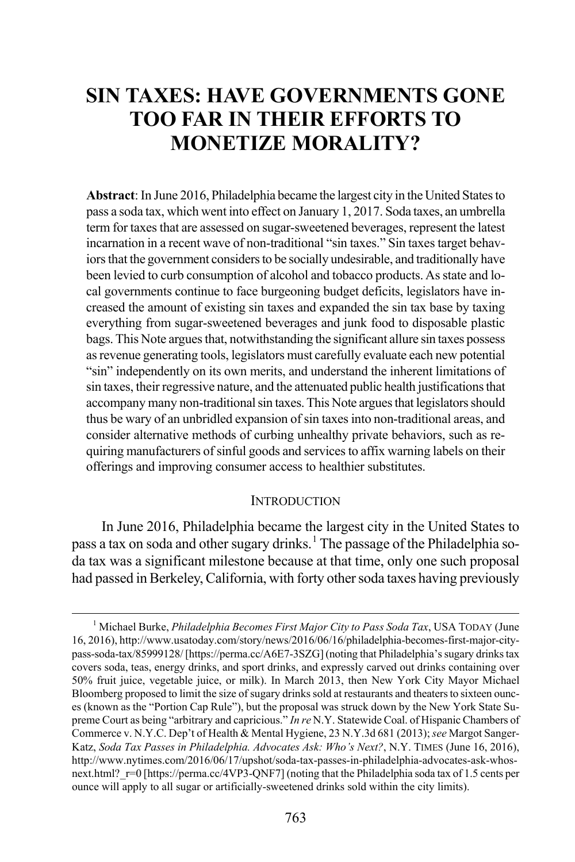# **SIN TAXES: HAVE GOVERNMENTS GONE TOO FAR IN THEIR EFFORTS TO MONETIZE MORALITY?**

**Abstract**: In June 2016, Philadelphia became the largest city in the United States to pass a soda tax, which went into effect on January 1, 2017. Soda taxes, an umbrella term for taxes that are assessed on sugar-sweetened beverages, represent the latest incarnation in a recent wave of non-traditional "sin taxes." Sin taxes target behaviors that the government considers to be socially undesirable, and traditionally have been levied to curb consumption of alcohol and tobacco products. As state and local governments continue to face burgeoning budget deficits, legislators have increased the amount of existing sin taxes and expanded the sin tax base by taxing everything from sugar-sweetened beverages and junk food to disposable plastic bags. This Note argues that, notwithstanding the significant allure sin taxes possess as revenue generating tools, legislators must carefully evaluate each new potential "sin" independently on its own merits, and understand the inherent limitations of sin taxes, their regressive nature, and the attenuated public health justifications that accompany many non-traditional sin taxes. This Note argues that legislators should thus be wary of an unbridled expansion of sin taxes into non-traditional areas, and consider alternative methods of curbing unhealthy private behaviors, such as requiring manufacturers of sinful goods and services to affix warning labels on their offerings and improving consumer access to healthier substitutes.

#### **INTRODUCTION**

In June 2016, Philadelphia became the largest city in the United States to pass a tax on soda and other sugary drinks.<sup>[1](#page-1-0)</sup> The passage of the Philadelphia soda tax was a significant milestone because at that time, only one such proposal had passed in Berkeley, California, with forty other soda taxes having previously

<span id="page-1-0"></span> <sup>1</sup> Michael Burke, *Philadelphia Becomes First Major City to Pass Soda Tax*, USA TODAY (June 16, 2016), http://www.usatoday.com/story/news/2016/06/16/philadelphia-becomes-first-major-citypass-soda-tax/85999128/ [https://perma.cc/A6E7-3SZG] (noting that Philadelphia's sugary drinks tax covers soda, teas, energy drinks, and sport drinks, and expressly carved out drinks containing over 50% fruit juice, vegetable juice, or milk). In March 2013, then New York City Mayor Michael Bloomberg proposed to limit the size of sugary drinks sold at restaurants and theaters to sixteen ounces (known as the "Portion Cap Rule"), but the proposal was struck down by the New York State Supreme Court as being "arbitrary and capricious." *In re* N.Y. Statewide Coal. of Hispanic Chambers of Commerce v. N.Y.C. Dep't of Health & Mental Hygiene, 23 N.Y.3d 681 (2013); *see* Margot Sanger-Katz, *Soda Tax Passes in Philadelphia. Advocates Ask: Who's Next?*, N.Y. TIMES (June 16, 2016), http://www.nytimes.com/2016/06/17/upshot/soda-tax-passes-in-philadelphia-advocates-ask-whosnext.html?  $r=0$  [https://perma.cc/4VP3-QNF7] (noting that the Philadelphia soda tax of 1.5 cents per ounce will apply to all sugar or artificially-sweetened drinks sold within the city limits).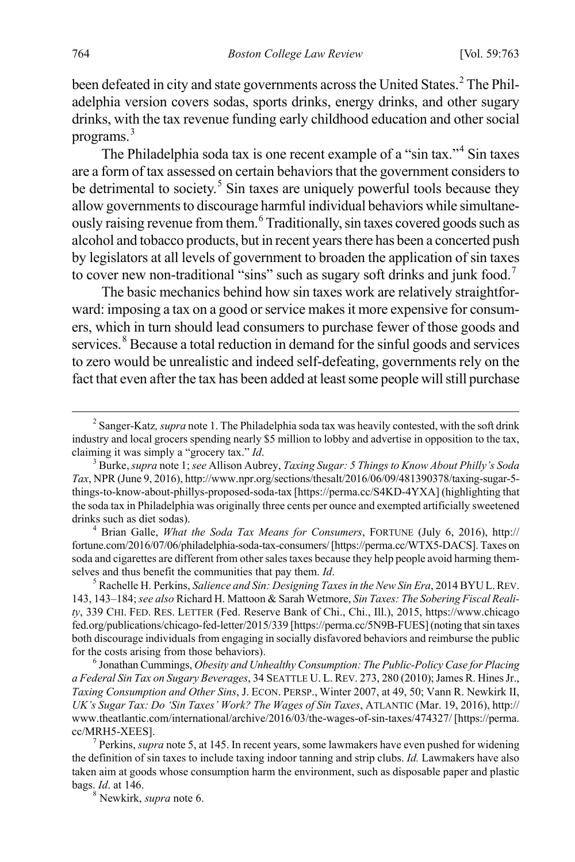been defeated in city and state governments across the United States.<sup>[2](#page-2-0)</sup> The Philadelphia version covers sodas, sports drinks, energy drinks, and other sugary drinks, with the tax revenue funding early childhood education and other social programs.[3](#page-2-1)

The Philadelphia soda tax is one recent example of a "sin tax."[4](#page-2-2) Sin taxes are a form of tax assessed on certain behaviors that the government considers to be detrimental to society.<sup>[5](#page-2-3)</sup> Sin taxes are uniquely powerful tools because they allow governments to discourage harmful individual behaviors while simultaneously raising revenue from them.[6](#page-2-4) Traditionally, sin taxes covered goods such as alcohol and tobacco products, but in recent years there has been a concerted push by legislators at all levels of government to broaden the application of sin taxes to cover new non-traditional "sins" such as sugary soft drinks and junk food.<sup>[7](#page-2-5)</sup>

The basic mechanics behind how sin taxes work are relatively straightforward: imposing a tax on a good or service makes it more expensive for consumers, which in turn should lead consumers to purchase fewer of those goods and services.<sup>[8](#page-2-6)</sup> Because a total reduction in demand for the sinful goods and services to zero would be unrealistic and indeed self-defeating, governments rely on the fact that even after the tax has been added at least some people will still purchase

<span id="page-2-2"></span>fortune.com/2016/07/06/philadelphia-soda-tax-consumers/ [https://perma.cc/WTX5-DACS]. Taxes on soda and cigarettes are different from other sales taxes because they help people avoid harming themselves and thus benefit the communities that pay them. *Id.* 5  $\frac{5}{1}$  Rachelle H. Perkins, *Salience and Sin: Designing Taxes in the New Sin Era*, 2014 BYU L. REV.

<span id="page-2-3"></span>143, 143–184; *see also* Richard H. Mattoon & Sarah Wetmore, *Sin Taxes: The Sobering Fiscal Reality*, 339 CHI. FED. RES. LETTER (Fed. Reserve Bank of Chi., Chi., Ill.), 2015, https://www.chicago fed.org/publications/chicago-fed-letter/2015/339 [https://perma.cc/5N9B-FUES](noting that sin taxes both discourage individuals from engaging in socially disfavored behaviors and reimburse the public for the costs arising from those behaviors). <sup>6</sup> Jonathan Cummings, *Obesity and Unhealthy Consumption: The Public-Policy Case for Placing*

<span id="page-2-4"></span>*a Federal Sin Tax on Sugary Beverages*, 34 SEATTLE U. L. REV. 273, 280 (2010); James R. Hines Jr., *Taxing Consumption and Other Sins*, J. ECON. PERSP., Winter 2007, at 49, 50; Vann R. Newkirk II, *UK's Sugar Tax: Do 'Sin Taxes' Work? The Wages of Sin Taxes*, ATLANTIC (Mar. 19, 2016), http:// www.theatlantic.com/international/archive/2016/03/the-wages-of-sin-taxes/474327/ [https://perma. cc/MRH5-XEES].

<span id="page-2-6"></span><span id="page-2-5"></span> Perkins, *supra* note 5, at 145. In recent years, some lawmakers have even pushed for widening the definition of sin taxes to include taxing indoor tanning and strip clubs. *Id.* Lawmakers have also taken aim at goods whose consumption harm the environment, such as disposable paper and plastic bags. *Id*. at 146. 8 Newkirk, *supra* note 6.

<span id="page-2-0"></span> <sup>2</sup> <sup>2</sup> Sanger-Katz, *supra* note 1. The Philadelphia soda tax was heavily contested, with the soft drink industry and local grocers spending nearly \$5 million to lobby and advertise in opposition to the tax, claiming it was simply a "grocery tax." *Id*. 3

<span id="page-2-1"></span>Burke, *supra* note 1; *see* Allison Aubrey, *Taxing Sugar: 5 Things to Know About Philly's Soda Tax*, NPR (June 9, 2016), http://www.npr.org/sections/thesalt/2016/06/09/481390378/taxing-sugar-5 things-to-know-about-phillys-proposed-soda-tax [https://perma.cc/S4KD-4YXA] (highlighting that the soda tax in Philadelphia was originally three cents per ounce and exempted artificially sweetened drinks such as diet sodas). <sup>4</sup> Brian Galle, *What the Soda Tax Means for Consumers*, FORTUNE (July 6, 2016), http://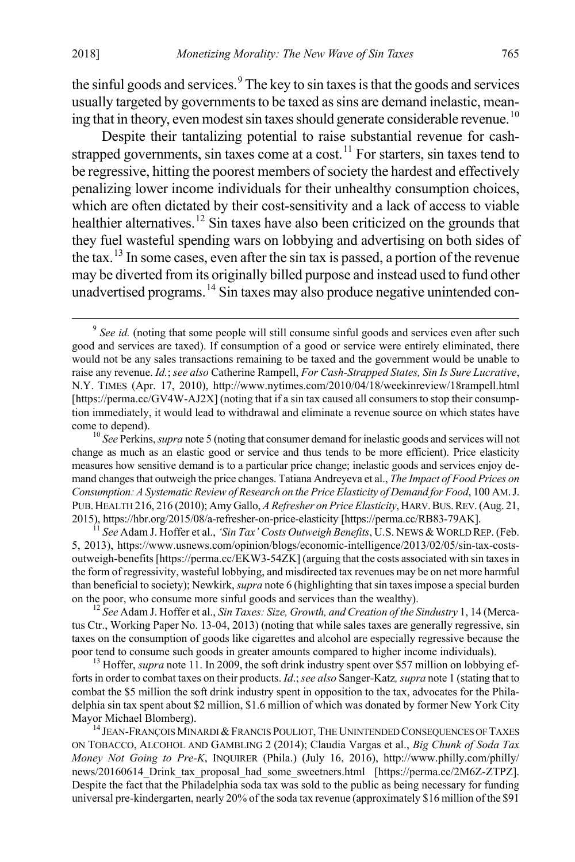the sinful goods and services.<sup>[9](#page-3-0)</sup> The key to sin taxes is that the goods and services usually targeted by governments to be taxed as sins are demand inelastic, mean-ing that in theory, even modest sin taxes should generate considerable revenue.<sup>[10](#page-3-1)</sup>

Despite their tantalizing potential to raise substantial revenue for cash-strapped governments, sin taxes come at a cost.<sup>[11](#page-3-2)</sup> For starters, sin taxes tend to be regressive, hitting the poorest members of society the hardest and effectively penalizing lower income individuals for their unhealthy consumption choices, which are often dictated by their cost-sensitivity and a lack of access to viable healthier alternatives.<sup>[12](#page-3-3)</sup> Sin taxes have also been criticized on the grounds that they fuel wasteful spending wars on lobbying and advertising on both sides of the tax.[13](#page-3-4) In some cases, even after the sin tax is passed, a portion of the revenue may be diverted from its originally billed purpose and instead used to fund other unadvertised programs.<sup>[14](#page-3-5)</sup> Sin taxes may also produce negative unintended con-

<span id="page-3-2"></span>See Adam J. Hoffer et al., *'Sin Tax' Costs Outweigh Benefits*, U.S. NEWS & WORLD REP. (Feb. 5, 2013), https://www.usnews.com/opinion/blogs/economic-intelligence/2013/02/05/sin-tax-costsoutweigh-benefits [https://perma.cc/EKW3-54ZK] (arguing that the costs associated with sin taxes in the form of regressivity, wasteful lobbying, and misdirected tax revenues may be on net more harmful than beneficial to society); Newkirk, *supra* note 6 (highlighting that sin taxes impose a special burden

<span id="page-3-3"></span><sup>12</sup> See Adam J. Hoffer et al., *Sin Taxes: Size, Growth, and Creation of the Sindustry 1, 14 (Merca*tus Ctr., Working Paper No. 13-04, 2013) (noting that while sales taxes are generally regressive, sin taxes on the consumption of goods like cigarettes and alcohol are especially regressive because the poor tend to consume such goods in greater amounts compared to higher income individuals). <sup>13</sup> Hoffer, *supra* note 11. In 2009, the soft drink industry spent over \$57 million on lobbying ef-

<span id="page-3-4"></span>forts in order to combat taxes on their products. *Id*.; *see also* Sanger-Katz*, supra* note 1 (stating that to combat the \$5 million the soft drink industry spent in opposition to the tax, advocates for the Philadelphia sin tax spent about \$2 million, \$1.6 million of which was donated by former New York City Mayor Michael Blomberg).

<span id="page-3-5"></span> $^{14}$  Jean-François Minardi & Francis Pouliot, The Unintended Consequences of Taxes ON TOBACCO, ALCOHOL AND GAMBLING 2 (2014); Claudia Vargas et al., *Big Chunk of Soda Tax Money Not Going to Pre-K*, INQUIRER (Phila.) (July 16, 2016), http://www.philly.com/philly/ news/20160614 Drink tax\_proposal\_had\_some\_sweetners.html [https://perma.cc/2M6Z-ZTPZ]. Despite the fact that the Philadelphia soda tax was sold to the public as being necessary for funding universal pre-kindergarten, nearly 20% of the soda tax revenue (approximately \$16 million of the \$91

<span id="page-3-0"></span><sup>&</sup>lt;sup>9</sup> See id. (noting that some people will still consume sinful goods and services even after such good and services are taxed). If consumption of a good or service were entirely eliminated, there would not be any sales transactions remaining to be taxed and the government would be unable to raise any revenue. *Id.*; *see also* Catherine Rampell, *For Cash-Strapped States, Sin Is Sure Lucrative*, N.Y. TIMES (Apr. 17, 2010), http://www.nytimes.com/2010/04/18/weekinreview/18rampell.html [https://perma.cc/GV4W-AJ2X] (noting that if a sin tax caused all consumers to stop their consumption immediately, it would lead to withdrawal and eliminate a revenue source on which states have come to depend). <sup>10</sup> *See* Perkins, *supra* note 5 (noting that consumer demand for inelastic goods and services will not

<span id="page-3-1"></span>change as much as an elastic good or service and thus tends to be more efficient). Price elasticity measures how sensitive demand is to a particular price change; inelastic goods and services enjoy demand changes that outweigh the price changes. Tatiana Andreyeva et al., *The Impact of Food Prices on Consumption: A Systematic Review of Research on the Price Elasticity of Demand for Food*, 100 AM.J. PUB. HEALTH 216, 216 (2010); Amy Gallo, *A Refresher on Price Elasticity*, HARV. BUS. REV. (Aug. 21, 2015), https://hbr.org/2015/08/a-refresher-on-price-elasticity [https://perma.cc/RB83-79AK].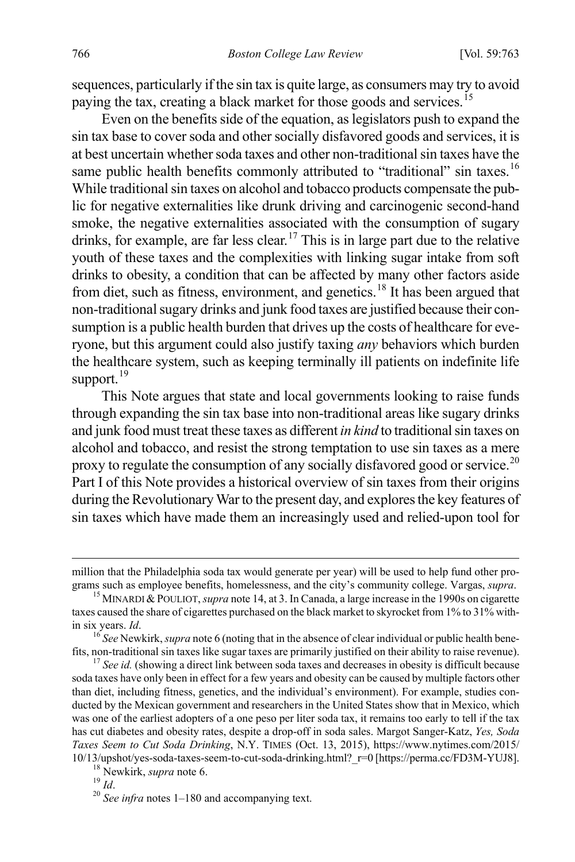sequences, particularly if the sin tax is quite large, as consumers may try to avoid paying the tax, creating a black market for those goods and services.<sup>[15](#page-4-0)</sup>

Even on the benefits side of the equation, as legislators push to expand the sin tax base to cover soda and other socially disfavored goods and services, it is at best uncertain whether soda taxes and other non-traditional sin taxes have the same public health benefits commonly attributed to "traditional" sin taxes.<sup>[16](#page-4-1)</sup> While traditional sin taxes on alcohol and tobacco products compensate the public for negative externalities like drunk driving and carcinogenic second-hand smoke, the negative externalities associated with the consumption of sugary drinks, for example, are far less clear.<sup>[17](#page-4-2)</sup> This is in large part due to the relative youth of these taxes and the complexities with linking sugar intake from soft drinks to obesity, a condition that can be affected by many other factors aside from diet, such as fitness, environment, and genetics.<sup>[18](#page-4-3)</sup> It has been argued that non-traditional sugary drinks and junk food taxes are justified because their consumption is a public health burden that drives up the costs of healthcare for everyone, but this argument could also justify taxing *any* behaviors which burden the healthcare system, such as keeping terminally ill patients on indefinite life support.<sup>[19](#page-4-4)</sup>

This Note argues that state and local governments looking to raise funds through expanding the sin tax base into non-traditional areas like sugary drinks and junk food must treat these taxes as different *in kind* to traditional sin taxes on alcohol and tobacco, and resist the strong temptation to use sin taxes as a mere proxy to regulate the consumption of any socially disfavored good or service.<sup>[20](#page-4-5)</sup> Part I of this Note provides a historical overview of sin taxes from their origins during the Revolutionary War to the present day, and explores the key features of sin taxes which have made them an increasingly used and relied-upon tool for

million that the Philadelphia soda tax would generate per year) will be used to help fund other programs such as employee benefits, homelessness, and the city's community college. Vargas, *supra*. 15 MINARDI &POULIOT, *supra* note 14, at 3. In Canada, a large increase in the 1990s on cigarette

<span id="page-4-0"></span>taxes caused the share of cigarettes purchased on the black market to skyrocket from 1% to 31% with-

<span id="page-4-1"></span>in six years. *Id*.<br><sup>16</sup> See Newkirk, *supra* note 6 (noting that in the absence of clear individual or public health bene-<br>fits, non-traditional sin taxes like sugar taxes are primarily justified on their ability to raise

<span id="page-4-2"></span> $\frac{17}{17}$  See id. (showing a direct link between soda taxes and decreases in obesity is difficult because soda taxes have only been in effect for a few years and obesity can be caused by multiple factors other than diet, including fitness, genetics, and the individual's environment). For example, studies conducted by the Mexican government and researchers in the United States show that in Mexico, which was one of the earliest adopters of a one peso per liter soda tax, it remains too early to tell if the tax has cut diabetes and obesity rates, despite a drop-off in soda sales. Margot Sanger-Katz, *Yes, Soda Taxes Seem to Cut Soda Drinking*, N.Y. TIMES (Oct. 13, 2015), https://www.nytimes.com/2015/ 10/13/upshot/yes-soda-taxes-seem-to-cut-soda-drinking.html?\_r=0 [https://perma.cc/FD3M-YUJ8]. <sup>18</sup> Newkirk, *supra* note 6. <sup>19</sup> *Id*. <sup>20</sup> *See infra* notes 1–180 and accompanying text.

<span id="page-4-3"></span>

<span id="page-4-5"></span><span id="page-4-4"></span>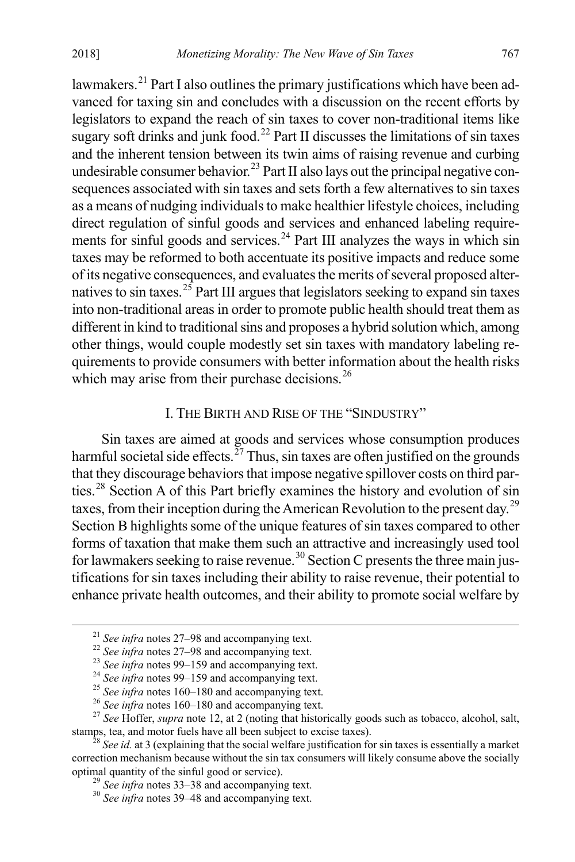lawmakers.<sup>[21](#page-5-0)</sup> Part I also outlines the primary justifications which have been advanced for taxing sin and concludes with a discussion on the recent efforts by legislators to expand the reach of sin taxes to cover non-traditional items like sugary soft drinks and junk food.<sup>[22](#page-5-1)</sup> Part II discusses the limitations of sin taxes and the inherent tension between its twin aims of raising revenue and curbing undesirable consumer behavior.<sup>[23](#page-5-2)</sup> Part II also lays out the principal negative consequences associated with sin taxes and sets forth a few alternatives to sin taxes as a means of nudging individuals to make healthier lifestyle choices, including direct regulation of sinful goods and services and enhanced labeling require-ments for sinful goods and services.<sup>[24](#page-5-3)</sup> Part III analyzes the ways in which sin taxes may be reformed to both accentuate its positive impacts and reduce some of its negative consequences, and evaluates the merits of several proposed alter-natives to sin taxes.<sup>[25](#page-5-4)</sup> Part III argues that legislators seeking to expand sin taxes into non-traditional areas in order to promote public health should treat them as different in kind to traditional sins and proposes a hybrid solution which, among other things, would couple modestly set sin taxes with mandatory labeling requirements to provide consumers with better information about the health risks which may arise from their purchase decisions.<sup>[26](#page-5-5)</sup>

#### I. THE BIRTH AND RISE OF THE "SINDUSTRY"

Sin taxes are aimed at goods and services whose consumption produces harmful societal side effects.<sup> $\frac{27}{7}$  $\frac{27}{7}$  $\frac{27}{7}$ </sup> Thus, sin taxes are often justified on the grounds that they discourage behaviors that impose negative spillover costs on third parties.[28](#page-5-7) Section A of this Part briefly examines the history and evolution of sin taxes, from their inception during the American Revolution to the present day.<sup>[29](#page-5-8)</sup> Section B highlights some of the unique features of sin taxes compared to other forms of taxation that make them such an attractive and increasingly used tool for lawmakers seeking to raise revenue.<sup>[30](#page-5-9)</sup> Section C presents the three main justifications for sin taxes including their ability to raise revenue, their potential to enhance private health outcomes, and their ability to promote social welfare by

<span id="page-5-3"></span><span id="page-5-2"></span><span id="page-5-1"></span><span id="page-5-0"></span><sup>&</sup>lt;sup>21</sup> See infra notes 27–98 and accompanying text.<br>
<sup>22</sup> See infra notes 27–98 and accompanying text.<br>
<sup>23</sup> See infra notes 99–159 and accompanying text.<br>
<sup>24</sup> See infra notes 99–159 and accompanying text.<br>
<sup>25</sup> See infra

<span id="page-5-9"></span><span id="page-5-8"></span><span id="page-5-7"></span><span id="page-5-6"></span><span id="page-5-5"></span><span id="page-5-4"></span><sup>&</sup>lt;sup>28</sup> See id. at 3 (explaining that the social welfare justification for sin taxes is essentially a market correction mechanism because without the sin tax consumers will likely consume above the socially optimal quantity of the sinful good or service). <sup>29</sup> *See infra* notes 33–38 and accompanying text. <sup>30</sup> *See infra* notes 39–48 and accompanying text.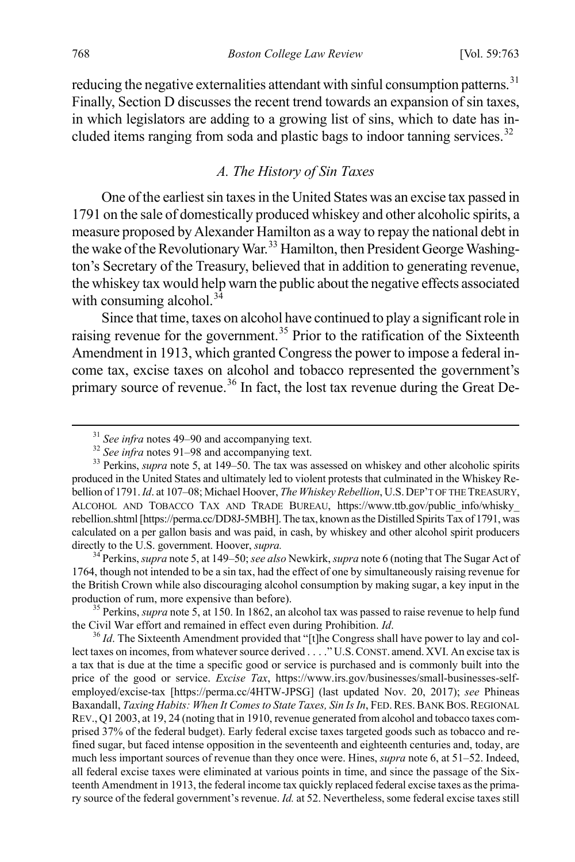reducing the negative externalities attendant with sinful consumption patterns.<sup>[31](#page-6-0)</sup> Finally, Section D discusses the recent trend towards an expansion of sin taxes, in which legislators are adding to a growing list of sins, which to date has in-cluded items ranging from soda and plastic bags to indoor tanning services.<sup>[32](#page-6-1)</sup>

## *A. The History of Sin Taxes*

One of the earliest sin taxes in the United States was an excise tax passed in 1791 on the sale of domestically produced whiskey and other alcoholic spirits, a measure proposed by Alexander Hamilton as a way to repay the national debt in the wake of the Revolutionary War.<sup>[33](#page-6-2)</sup> Hamilton, then President George Washington's Secretary of the Treasury, believed that in addition to generating revenue, the whiskey tax would help warn the public about the negative effects associated with consuming alcohol. $3\overline{4}$ 

Since that time, taxes on alcohol have continued to play a significant role in raising revenue for the government.<sup>[35](#page-6-4)</sup> Prior to the ratification of the Sixteenth Amendment in 1913, which granted Congress the power to impose a federal income tax, excise taxes on alcohol and tobacco represented the government's primary source of revenue.<sup>[36](#page-6-5)</sup> In fact, the lost tax revenue during the Great De-

<span id="page-6-3"></span>directly to the U.S. government. Hoover, *supra.* 34 Perkins, *supra* note 5, at 149–50; *see also* Newkirk, *supra* note 6 (noting that The Sugar Act of 1764, though not intended to be a sin tax, had the effect of one by simultaneously raising revenue for the British Crown while also discouraging alcohol consumption by making sugar, a key input in the production of rum, more expensive than before).<br><sup>35</sup> Perkins, *supra* note 5, at 150. In 1862, an alcohol tax was passed to raise revenue to help fund

<span id="page-6-4"></span>the Civil War effort and remained in effect even during Prohibition. *Id*.<br><sup>36</sup> *Id*. The Sixteenth Amendment provided that "[t]he Congress shall have power to lay and col-

<span id="page-6-5"></span>lect taxes on incomes, from whatever source derived . . . ." U.S.CONST. amend.XVI. An excise tax is a tax that is due at the time a specific good or service is purchased and is commonly built into the price of the good or service. *Excise Tax*, https://www.irs.gov/businesses/small-businesses-selfemployed/excise-tax [https://perma.cc/4HTW-JPSG] (last updated Nov. 20, 2017); *see* Phineas Baxandall, *Taxing Habits: When It Comes to State Taxes, Sin Is In*, FED. RES. BANK BOS. REGIONAL REV., Q1 2003, at 19, 24 (noting that in 1910, revenue generated from alcohol and tobacco taxes comprised 37% of the federal budget). Early federal excise taxes targeted goods such as tobacco and refined sugar, but faced intense opposition in the seventeenth and eighteenth centuries and, today, are much less important sources of revenue than they once were. Hines, *supra* note 6, at 51–52. Indeed, all federal excise taxes were eliminated at various points in time, and since the passage of the Sixteenth Amendment in 1913, the federal income tax quickly replaced federal excise taxes as the primary source of the federal government's revenue. *Id.* at 52. Nevertheless, some federal excise taxes still

<span id="page-6-2"></span><span id="page-6-1"></span><span id="page-6-0"></span><sup>&</sup>lt;sup>31</sup> *See infra* notes 49–90 and accompanying text.<br><sup>32</sup> *See infra* notes 91–98 and accompanying text.<br><sup>33</sup> Perkins, *supra* note 5, at 149–50. The tax was assessed on whiskey and other alcoholic spirits produced in the United States and ultimately led to violent protests that culminated in the Whiskey Rebellion of 1791. *Id*. at 107–08; Michael Hoover, *The Whiskey Rebellion*, U.S.DEP'T OF THE TREASURY, ALCOHOL AND TOBACCO TAX AND TRADE BUREAU, https://www.ttb.gov/public\_info/whisky\_ rebellion.shtml [https://perma.cc/DD8J-5MBH]. The tax, known as the Distilled Spirits Tax of 1791, was calculated on a per gallon basis and was paid, in cash, by whiskey and other alcohol spirit producers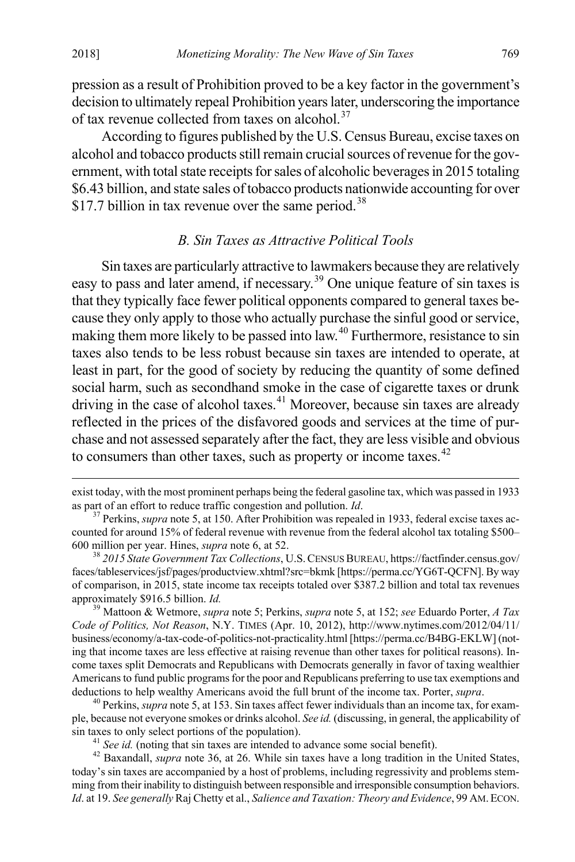pression as a result of Prohibition proved to be a key factor in the government's decision to ultimately repeal Prohibition years later, underscoring the importance of tax revenue collected from taxes on alcohol.<sup>[37](#page-7-0)</sup>

According to figures published by the U.S. Census Bureau, excise taxes on alcohol and tobacco products still remain crucial sources of revenue for the government, with total state receipts for sales of alcoholic beverages in 2015 totaling \$6.43 billion, and state sales of tobacco products nationwide accounting for over \$17.7 billion in tax revenue over the same period.<sup>[38](#page-7-1)</sup>

#### *B. Sin Taxes as Attractive Political Tools*

Sin taxes are particularly attractive to lawmakers because they are relatively easy to pass and later amend, if necessary.[39](#page-7-2) One unique feature of sin taxes is that they typically face fewer political opponents compared to general taxes because they only apply to those who actually purchase the sinful good or service, making them more likely to be passed into law.<sup>[40](#page-7-3)</sup> Furthermore, resistance to sin taxes also tends to be less robust because sin taxes are intended to operate, at least in part, for the good of society by reducing the quantity of some defined social harm, such as secondhand smoke in the case of cigarette taxes or drunk driving in the case of alcohol taxes. $41$  Moreover, because sin taxes are already reflected in the prices of the disfavored goods and services at the time of purchase and not assessed separately after the fact, they are less visible and obvious to consumers than other taxes, such as property or income taxes.<sup>[42](#page-7-5)</sup>

<span id="page-7-2"></span>*Code of Politics, Not Reason*, N.Y. TIMES (Apr. 10, 2012), http://www.nytimes.com/2012/04/11/ business/economy/a-tax-code-of-politics-not-practicality.html [https://perma.cc/B4BG-EKLW] (noting that income taxes are less effective at raising revenue than other taxes for political reasons). Income taxes split Democrats and Republicans with Democrats generally in favor of taxing wealthier Americans to fund public programs for the poor and Republicans preferring to use tax exemptions and deductions to help wealthy Americans avoid the full brunt of the income tax. Porter, *supra*. 40 Perkins, *supra* note 5, at 153. Sin taxes affect fewer individuals than an income tax, for exam-

<span id="page-7-3"></span>ple, because not everyone smokes or drinks alcohol. *See id.* (discussing, in general, the applicability of sin taxes to only select portions of the population).

<span id="page-7-5"></span><span id="page-7-4"></span><sup>41</sup> See id. (noting that sin taxes are intended to advance some social benefit).<br><sup>42</sup> Baxandall, *supra* note 36, at 26. While sin taxes have a long tradition in the United States, today's sin taxes are accompanied by a host of problems, including regressivity and problems stemming from their inability to distinguish between responsible and irresponsible consumption behaviors. *Id*. at 19. *See generally* Raj Chetty et al., *Salience and Taxation: Theory and Evidence*, 99 AM.ECON.

exist today, with the most prominent perhaps being the federal gasoline tax, which was passed in 1933 as part of an effort to reduce traffic congestion and pollution. *Id.* <sup>37</sup> Perkins, *supra* note 5, at 150. After Prohibition was repealed in 1933, federal excise taxes ac-

<span id="page-7-0"></span>counted for around 15% of federal revenue with revenue from the federal alcohol tax totaling \$500– 600 million per year. Hines, *supra* note 6, at 52. <sup>38</sup> *2015 State Government Tax Collections*, U.S.CENSUS BUREAU, https://factfinder.census.gov/

<span id="page-7-1"></span>faces/tableservices/jsf/pages/productview.xhtml?src=bkmk [https://perma.cc/YG6T-QCFN]. By way of comparison, in 2015, state income tax receipts totaled over \$387.2 billion and total tax revenues approximately \$916.5 billion. *Id.* <sup>39</sup> Mattoon & Wetmore, *supra* note 5; Perkins, *supra* note 5, at 152; *see* Eduardo Porter, *A Tax*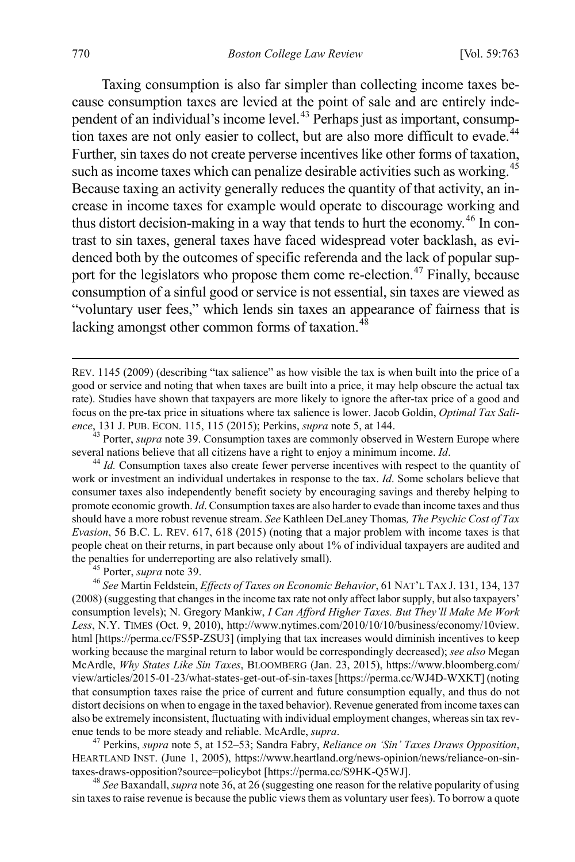Taxing consumption is also far simpler than collecting income taxes because consumption taxes are levied at the point of sale and are entirely inde-pendent of an individual's income level.<sup>[43](#page-8-0)</sup> Perhaps just as important, consump-tion taxes are not only easier to collect, but are also more difficult to evade.<sup>[44](#page-8-1)</sup> Further, sin taxes do not create perverse incentives like other forms of taxation, such as income taxes which can penalize desirable activities such as working.<sup>[45](#page-8-2)</sup> Because taxing an activity generally reduces the quantity of that activity, an increase in income taxes for example would operate to discourage working and thus distort decision-making in a way that tends to hurt the economy.<sup>[46](#page-8-3)</sup> In contrast to sin taxes, general taxes have faced widespread voter backlash, as evidenced both by the outcomes of specific referenda and the lack of popular sup-port for the legislators who propose them come re-election.<sup>[47](#page-8-4)</sup> Finally, because consumption of a sinful good or service is not essential, sin taxes are viewed as "voluntary user fees," which lends sin taxes an appearance of fairness that is lacking amongst other common forms of taxation. $48$ 

<span id="page-8-0"></span>*ence*, 131 J. PUB. ECON. 115, 115 (2015); Perkins, *supra* note 5, at 144.<br><sup>43</sup> Porter, *supra* note 39. Consumption taxes are commonly observed in Western Europe where<br>several nations believe that all citizens have a rig

<span id="page-8-1"></span><sup>44</sup> *Id.* Consumption taxes also create fewer perverse incentives with respect to the quantity of work or investment an individual undertakes in response to the tax. *Id*. Some scholars believe that consumer taxes also independently benefit society by encouraging savings and thereby helping to promote economic growth. *Id*. Consumption taxes are also harder to evade than income taxes and thus should have a more robust revenue stream. *See* Kathleen DeLaney Thomas*, The Psychic Cost of Tax Evasion*, 56 B.C. L. REV. 617, 618 (2015) (noting that a major problem with income taxes is that people cheat on their returns, in part because only about 1% of individual taxpayers are audited and the penalties for underreporting are also relatively small).<br><sup>45</sup> Porter, *supra* note 39.<br><sup>46</sup> See Martin Feldstein, *Effects of Taxes on Economic Behavior*, 61 NAT'L TAX J. 131, 134, 137

<span id="page-8-3"></span><span id="page-8-2"></span>(2008) (suggesting that changes in the income tax rate not only affect labor supply, but also taxpayers' consumption levels); N. Gregory Mankiw, *I Can Afford Higher Taxes. But They'll Make Me Work Less*, N.Y. TIMES (Oct. 9, 2010), http://www.nytimes.com/2010/10/10/business/economy/10view. html [https://perma.cc/FS5P-ZSU3] (implying that tax increases would diminish incentives to keep working because the marginal return to labor would be correspondingly decreased); *see also* Megan McArdle, *Why States Like Sin Taxes*, BLOOMBERG (Jan. 23, 2015), https://www.bloomberg.com/ view/articles/2015-01-23/what-states-get-out-of-sin-taxes [https://perma.cc/WJ4D-WXKT] (noting that consumption taxes raise the price of current and future consumption equally, and thus do not distort decisions on when to engage in the taxed behavior). Revenue generated from income taxes can also be extremely inconsistent, fluctuating with individual employment changes, whereas sin tax rev-<br>enue tends to be more steady and reliable. McArdle, *supra*.

<span id="page-8-4"></span><sup>47</sup> Perkins, *supra* note 5, at 152–53; Sandra Fabry, *Reliance on 'Sin' Taxes Draws Opposition*, HEARTLAND INST. (June 1, 2005), https://www.heartland.org/news-opinion/news/reliance-on-sintaxes-draws-opposition?source=policybot [https://perma.cc/S9HK-Q5WJ]. <sup>48</sup> *See* Baxandall, *supra* note 36, at 26 (suggesting one reason for the relative popularity of using

<span id="page-8-5"></span>sin taxes to raise revenue is because the public views them as voluntary user fees). To borrow a quote

REV. 1145 (2009) (describing "tax salience" as how visible the tax is when built into the price of a good or service and noting that when taxes are built into a price, it may help obscure the actual tax rate). Studies have shown that taxpayers are more likely to ignore the after-tax price of a good and focus on the pre-tax price in situations where tax salience is lower. Jacob Goldin, *Optimal Tax Sali-*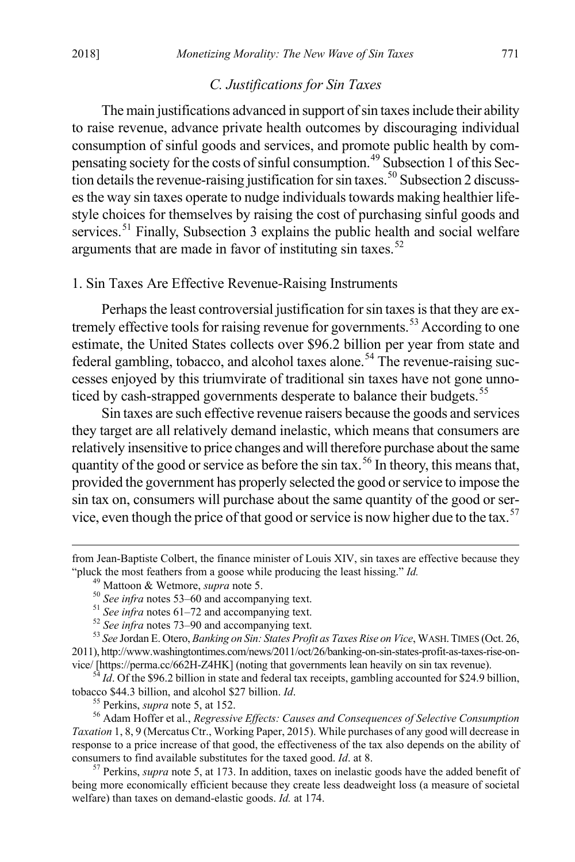#### *C. Justifications for Sin Taxes*

The main justifications advanced in support of sin taxes include their ability to raise revenue, advance private health outcomes by discouraging individual consumption of sinful goods and services, and promote public health by compensating society for the costs of sinful consumption.[49](#page-9-0) Subsection 1 of this Sec-tion details the revenue-raising justification for sin taxes.<sup>[50](#page-9-1)</sup> Subsection 2 discusses the way sin taxes operate to nudge individuals towards making healthier lifestyle choices for themselves by raising the cost of purchasing sinful goods and services.<sup>[51](#page-9-2)</sup> Finally, Subsection 3 explains the public health and social welfare arguments that are made in favor of instituting  $\sin$  taxes.<sup>[52](#page-9-3)</sup>

#### 1. Sin Taxes Are Effective Revenue-Raising Instruments

Perhaps the least controversial justification for sin taxes is that they are ex-tremely effective tools for raising revenue for governments.<sup>[53](#page-9-4)</sup> According to one estimate, the United States collects over \$96.2 billion per year from state and federal gambling, tobacco, and alcohol taxes alone.<sup>[54](#page-9-5)</sup> The revenue-raising successes enjoyed by this triumvirate of traditional sin taxes have not gone unno-ticed by cash-strapped governments desperate to balance their budgets.<sup>[55](#page-9-6)</sup>

Sin taxes are such effective revenue raisers because the goods and services they target are all relatively demand inelastic, which means that consumers are relatively insensitive to price changes and will therefore purchase about the same quantity of the good or service as before the sin tax.<sup>[56](#page-9-7)</sup> In theory, this means that, provided the government has properly selected the good or service to impose the sin tax on, consumers will purchase about the same quantity of the good or ser-vice, even though the price of that good or service is now higher due to the tax.<sup>[57](#page-9-8)</sup>

<span id="page-9-5"></span><sup>54</sup> *Id*. Of the \$96.2 billion in state and federal tax receipts, gambling accounted for \$24.9 billion, tobacco \$44.3 billion, and alcohol \$27 billion. *Id*.

<span id="page-9-1"></span><span id="page-9-0"></span>from Jean-Baptiste Colbert, the finance minister of Louis XIV, sin taxes are effective because they "pluck the most feathers from a goose while producing the least hissing." *Id.*<br><sup>49</sup> Mattoon & Wetmore, *supra* note 5.<br><sup>50</sup> See infra notes 53–60 and accompanying text.<br><sup>51</sup> See infra notes 61–72 and accompanying text.<br><sup></sup>

<span id="page-9-4"></span><span id="page-9-3"></span><span id="page-9-2"></span><sup>2011),</sup> http://www.washingtontimes.com/news/2011/oct/26/banking-on-sin-states-profit-as-taxes-rise-on-<br>vice/ [https://perma.cc/662H-Z4HK] (noting that governments lean heavily on sin tax revenue).

<span id="page-9-7"></span><span id="page-9-6"></span><sup>&</sup>lt;sup>55</sup> Perkins, *supra* note 5, at 152.<br><sup>56</sup> Adam Hoffer et al., *Regressive Effects: Causes and Consequences of Selective Consumption Taxation* 1, 8, 9 (Mercatus Ctr., Working Paper, 2015). While purchases of any good will decrease in response to a price increase of that good, the effectiveness of the tax also depends on the ability of consumers to find available substitutes for the taxed good. *Id*. at 8. 57 Perkins, *supra* note 5, at 173. In addition, taxes on inelastic goods have the added benefit of

<span id="page-9-8"></span>being more economically efficient because they create less deadweight loss (a measure of societal welfare) than taxes on demand-elastic goods. *Id.* at 174.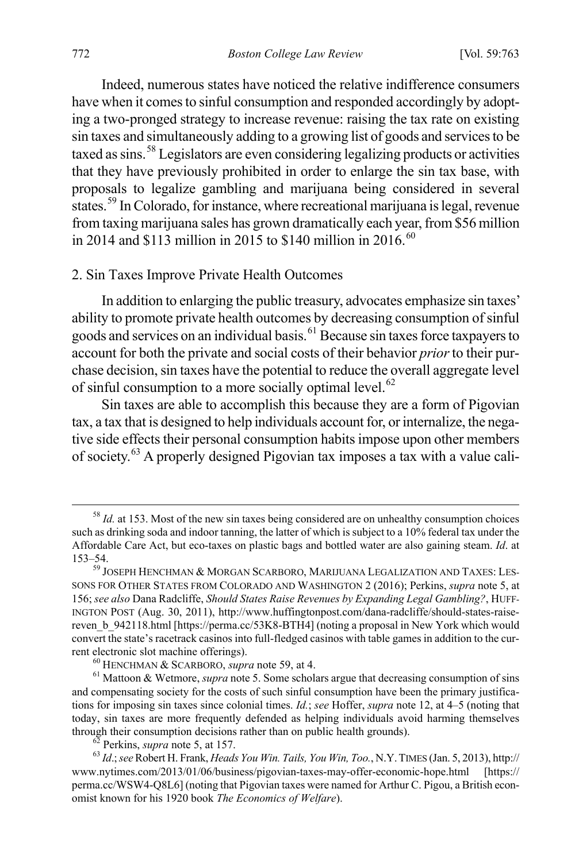Indeed, numerous states have noticed the relative indifference consumers have when it comes to sinful consumption and responded accordingly by adopting a two-pronged strategy to increase revenue: raising the tax rate on existing sin taxes and simultaneously adding to a growing list of goods and services to be taxed as sins.<sup>[58](#page-10-0)</sup> Legislators are even considering legalizing products or activities that they have previously prohibited in order to enlarge the sin tax base, with proposals to legalize gambling and marijuana being considered in several states.<sup>[59](#page-10-1)</sup> In Colorado, for instance, where recreational marijuana is legal, revenue from taxing marijuana sales has grown dramatically each year, from \$56 million in 2014 and \$113 million in 2015 to \$140 million in 2016.<sup>[60](#page-10-2)</sup>

#### 2. Sin Taxes Improve Private Health Outcomes

In addition to enlarging the public treasury, advocates emphasize sin taxes' ability to promote private health outcomes by decreasing consumption of sinful goods and services on an individual basis.[61](#page-10-3) Because sin taxes force taxpayers to account for both the private and social costs of their behavior *prior*to their purchase decision, sin taxes have the potential to reduce the overall aggregate level of sinful consumption to a more socially optimal level.<sup>[62](#page-10-4)</sup>

Sin taxes are able to accomplish this because they are a form of Pigovian tax, a tax that is designed to help individuals account for, or internalize, the negative side effects their personal consumption habits impose upon other members of society.[63](#page-10-5) A properly designed Pigovian tax imposes a tax with a value cali-

<span id="page-10-0"></span><sup>&</sup>lt;sup>58</sup> *Id.* at 153. Most of the new sin taxes being considered are on unhealthy consumption choices such as drinking soda and indoor tanning, the latter of which is subject to a 10% federal tax under the Affordable Care Act, but eco-taxes on plastic bags and bottled water are also gaining steam. *Id*. at

<span id="page-10-1"></span> $^{59}$  JOSEPH HENCHMAN  $\&$  MORGAN SCARBORO, MARIJUANA LEGALIZATION AND TAXES: LES-SONS FOR OTHER STATES FROM COLORADO AND WASHINGTON 2 (2016); Perkins, *supra* note 5, at 156; *see also* Dana Radcliffe, *Should States Raise Revenues by Expanding Legal Gambling?*, HUFF-INGTON POST (Aug. 30, 2011), http://www.huffingtonpost.com/dana-radcliffe/should-states-raisereven b 942118.html [https://perma.cc/53K8-BTH4] (noting a proposal in New York which would convert the state's racetrack casinos into full-fledged casinos with table games in addition to the current electronic slot machine offerings).<br><sup>60</sup> HENCHMAN & SCARBORO, *supra* note 59, at 4.<br><sup>61</sup> Mattoon & Wetmore, *supra* note 5. Some scholars argue that decreasing consumption of sins

<span id="page-10-3"></span><span id="page-10-2"></span>and compensating society for the costs of such sinful consumption have been the primary justifications for imposing sin taxes since colonial times. *Id.*; *see* Hoffer, *supra* note 12, at 4–5 (noting that today, sin taxes are more frequently defended as helping individuals avoid harming themselves through their consumption decisions rather than on public health grounds).

<span id="page-10-5"></span><span id="page-10-4"></span> $^{62}$  Perkins, *supra* note 5, at 157.<br><sup>63</sup> *Id.*; *see* Robert H. Frank, *Heads You Win. Tails, You Win, Too.*, N.Y. TIMES (Jan. 5, 2013), http:// www.nytimes.com/2013/01/06/business/pigovian-taxes-may-offer-economic-hope.html [https:// perma.cc/WSW4-Q8L6] (noting that Pigovian taxes were named for Arthur C. Pigou, a British economist known for his 1920 book *The Economics of Welfare*).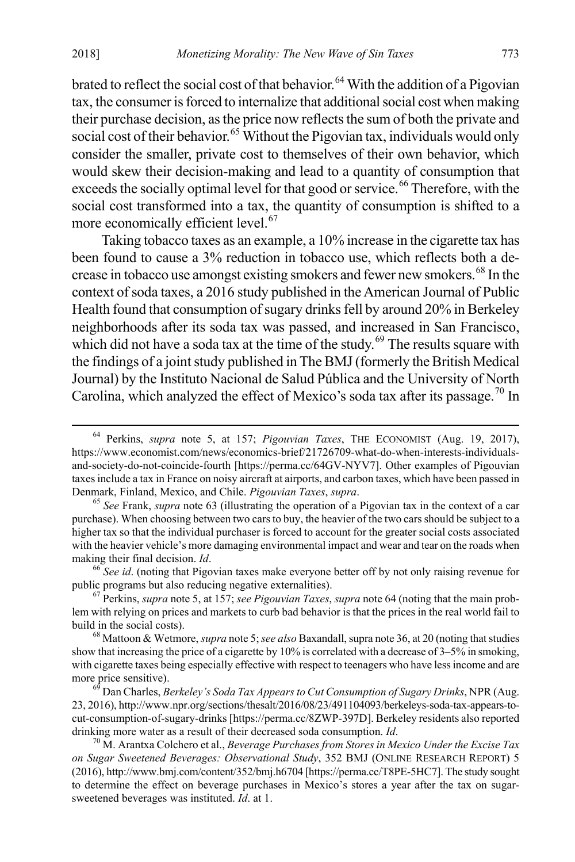brated to reflect the social cost of that behavior.<sup>[64](#page-11-0)</sup> With the addition of a Pigovian tax, the consumer is forced to internalize that additional social cost when making their purchase decision, as the price now reflects the sum of both the private and social cost of their behavior.<sup>[65](#page-11-1)</sup> Without the Pigovian tax, individuals would only consider the smaller, private cost to themselves of their own behavior, which would skew their decision-making and lead to a quantity of consumption that exceeds the socially optimal level for that good or service.<sup>[66](#page-11-2)</sup> Therefore, with the social cost transformed into a tax, the quantity of consumption is shifted to a more economically efficient level.<sup>[67](#page-11-3)</sup>

Taking tobacco taxes as an example, a 10% increase in the cigarette tax has been found to cause a 3% reduction in tobacco use, which reflects both a de-crease in tobacco use amongst existing smokers and fewer new smokers.<sup>[68](#page-11-4)</sup> In the context of soda taxes, a 2016 study published in the American Journal of Public Health found that consumption of sugary drinks fell by around 20% in Berkeley neighborhoods after its soda tax was passed, and increased in San Francisco, which did not have a soda tax at the time of the study.<sup>[69](#page-11-5)</sup> The results square with the findings of a joint study published in The BMJ (formerly the British Medical Journal) by the Instituto Nacional de Salud Pública and the University of North Carolina, which analyzed the effect of Mexico's soda tax after its passage.<sup>[70](#page-11-6)</sup> In

<span id="page-11-2"></span>public programs but also reducing negative externalities). 67 Perkins, *supra* note 5, at 157; *see Pigouvian Taxes*, *supra* note 64 (noting that the main prob-

<span id="page-11-3"></span>lem with relying on prices and markets to curb bad behavior is that the prices in the real world fail to

<span id="page-11-4"></span><sup>68</sup> Mattoon & Wetmore, *supra* note 5; *see also* Baxandall, supra note 36, at 20 (noting that studies show that increasing the price of a cigarette by 10% is correlated with a decrease of 3–5% in smoking, with cigarette taxes being especially effective with respect to teenagers who have less income and are more price sensitive).

<span id="page-11-5"></span><sup>69</sup> Dan Charles, *Berkeley's Soda Tax Appears to Cut Consumption of Sugary Drinks*, NPR (Aug. 23, 2016), http://www.npr.org/sections/thesalt/2016/08/23/491104093/berkeleys-soda-tax-appears-tocut-consumption-of-sugary-drinks [https://perma.cc/8ZWP-397D]. Berkeley residents also reported drinking more water as a result of their decreased soda consumption. *Id*.<br><sup>70</sup> M. Arantxa Colchero et al., *Beverage Purchases from Stores in Mexico Under the Excise Tax* 

<span id="page-11-6"></span>*on Sugar Sweetened Beverages: Observational Study*, 352 BMJ (ONLINE RESEARCH REPORT) 5 (2016), http://www.bmj.com/content/352/bmj.h6704 [https://perma.cc/T8PE-5HC7]. The study sought to determine the effect on beverage purchases in Mexico's stores a year after the tax on sugarsweetened beverages was instituted. *Id*. at 1.

<span id="page-11-0"></span> <sup>64</sup> Perkins, *supra* note 5, at 157; *Pigouvian Taxes*, THE ECONOMIST (Aug. 19, 2017), https://www.economist.com/news/economics-brief/21726709-what-do-when-interests-individualsand-society-do-not-coincide-fourth [https://perma.cc/64GV-NYV7]. Other examples of Pigouvian taxes include a tax in France on noisy aircraft at airports, and carbon taxes, which have been passed in Denmark, Finland, Mexico, and Chile. *Pigouvian Taxes*, *supra*. 65 *See* Frank, *supra* note 63 (illustrating the operation of a Pigovian tax in the context of a car

<span id="page-11-1"></span>purchase). When choosing between two cars to buy, the heavier of the two cars should be subject to a higher tax so that the individual purchaser is forced to account for the greater social costs associated with the heavier vehicle's more damaging environmental impact and wear and tear on the roads when making their final decision. *Id*.<br><sup>66</sup> *See id*. (noting that Pigovian taxes make everyone better off by not only raising revenue for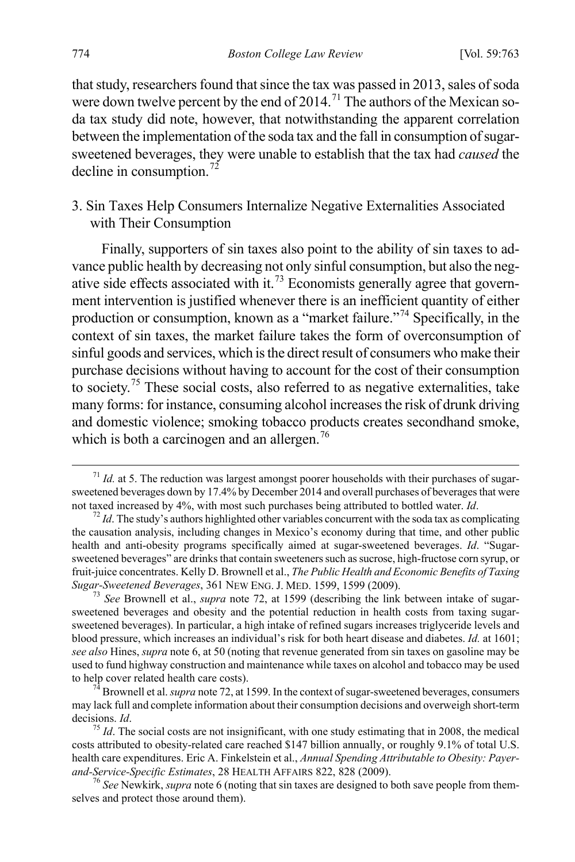that study, researchers found that since the tax was passed in 2013, sales of soda were down twelve percent by the end of 2014.<sup>[71](#page-12-0)</sup> The authors of the Mexican soda tax study did note, however, that notwithstanding the apparent correlation between the implementation of the soda tax and the fall in consumption of sugarsweetened beverages, they were unable to establish that the tax had *caused* the decline in consumption.<sup>[72](#page-12-1)</sup>

### 3. Sin Taxes Help Consumers Internalize Negative Externalities Associated with Their Consumption

Finally, supporters of sin taxes also point to the ability of sin taxes to advance public health by decreasing not only sinful consumption, but also the neg-ative side effects associated with it.<sup>[73](#page-12-2)</sup> Economists generally agree that government intervention is justified whenever there is an inefficient quantity of either production or consumption, known as a "market failure."[74](#page-12-3) Specifically, in the context of sin taxes, the market failure takes the form of overconsumption of sinful goods and services, which is the direct result of consumers who make their purchase decisions without having to account for the cost of their consumption to society.[75](#page-12-4) These social costs, also referred to as negative externalities, take many forms: for instance, consuming alcohol increases the risk of drunk driving and domestic violence; smoking tobacco products creates secondhand smoke, which is both a carcinogen and an allergen.<sup>[76](#page-12-5)</sup>

<span id="page-12-5"></span>selves and protect those around them).

<span id="page-12-0"></span><sup>&</sup>lt;sup>71</sup> *Id.* at 5. The reduction was largest amongst poorer households with their purchases of sugarsweetened beverages down by 17.4% by December 2014 and overall purchases of beverages that were not taxed increased by 4%, with most such purchases being attributed to bottled water. *Id*.

<span id="page-12-1"></span> $n<sup>72</sup>$  *Id*. The study's authors highlighted other variables concurrent with the soda tax as complicating the causation analysis, including changes in Mexico's economy during that time, and other public health and anti-obesity programs specifically aimed at sugar-sweetened beverages. *Id*. "Sugarsweetened beverages" are drinks that contain sweeteners such as sucrose, high-fructose corn syrup, or fruit-juice concentrates. Kelly D. Brownell et al., *The Public Health and Economic Benefits of Taxing Sugar-Sweetened Beverages*, 361 NEW ENG. J. MED. 1599, 1599 (2009). <sup>73</sup> *See* Brownell et al., *supra* note 72, at 1599 (describing the link between intake of sugar-

<span id="page-12-2"></span>sweetened beverages and obesity and the potential reduction in health costs from taxing sugarsweetened beverages). In particular, a high intake of refined sugars increases triglyceride levels and blood pressure, which increases an individual's risk for both heart disease and diabetes. *Id.* at 1601; *see also* Hines, *supra* note 6, at 50 (noting that revenue generated from sin taxes on gasoline may be used to fund highway construction and maintenance while taxes on alcohol and tobacco may be used to help cover related health care costs). <sup>74</sup> Brownell et al. *supra* note 72, at 1599. In the context of sugar-sweetened beverages, consumers

<span id="page-12-3"></span>may lack full and complete information about their consumption decisions and overweigh short-term decisions. *Id. T*<sup>5</sup> *Id*. The social costs are not insignificant, with one study estimating that in 2008, the medical

<span id="page-12-4"></span>costs attributed to obesity-related care reached \$147 billion annually, or roughly 9.1% of total U.S. health care expenditures. Eric A. Finkelstein et al., *Annual Spending Attributable to Obesity: Payerand-Service-Specific Estimates*, 28 HEALTH AFFAIRS 822, 828 (2009).<br><sup>76</sup> See Newkirk, *supra* note 6 (noting that sin taxes are designed to both save people from them-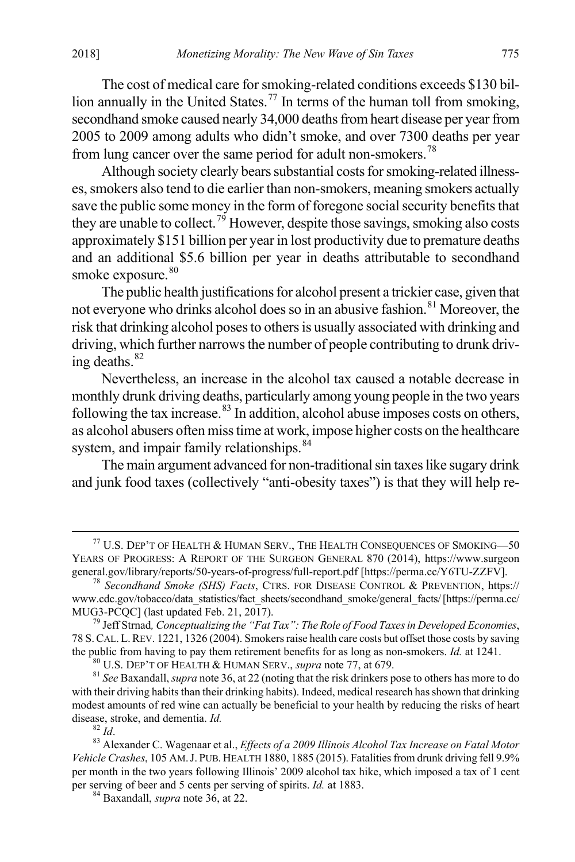The cost of medical care for smoking-related conditions exceeds \$130 bil-lion annually in the United States.<sup>[77](#page-13-0)</sup> In terms of the human toll from smoking, secondhand smoke caused nearly 34,000 deaths from heart disease per year from 2005 to 2009 among adults who didn't smoke, and over 7300 deaths per year from lung cancer over the same period for adult non-smokers.[78](#page-13-1)

Although society clearly bears substantial costs for smoking-related illnesses, smokers also tend to die earlier than non-smokers, meaning smokers actually save the public some money in the form of foregone social security benefits that they are unable to collect.<sup>[79](#page-13-2)</sup> However, despite those savings, smoking also costs approximately \$151 billion per year in lost productivity due to premature deaths and an additional \$5.6 billion per year in deaths attributable to secondhand smoke exposure.<sup>[80](#page-13-3)</sup>

The public health justifications for alcohol present a trickier case, given that not everyone who drinks alcohol does so in an abusive fashion.<sup>[81](#page-13-4)</sup> Moreover, the risk that drinking alcohol poses to others is usually associated with drinking and driving, which further narrows the number of people contributing to drunk driving deaths. $82$ 

Nevertheless, an increase in the alcohol tax caused a notable decrease in monthly drunk driving deaths, particularly among young people in the two years following the tax increase. $83$  In addition, alcohol abuse imposes costs on others, as alcohol abusers often miss time at work, impose higher costs on the healthcare system, and impair family relationships. <sup>[84](#page-13-7)</sup>

The main argument advanced for non-traditional sin taxes like sugary drink and junk food taxes (collectively "anti-obesity taxes") is that they will help re-

<span id="page-13-4"></span><span id="page-13-3"></span>with their driving habits than their drinking habits). Indeed, medical research has shown that drinking modest amounts of red wine can actually be beneficial to your health by reducing the risks of heart disease, stroke, and dementia. *Id.* 

<span id="page-13-0"></span> $^{77}$  U.S. Dep't of Health & Human Serv., The Health Consequences of Smoking—50 YEARS OF PROGRESS: A REPORT OF THE SURGEON GENERAL 870 (2014), https://www.surgeon general.gov/library/reports/50-years-of-progress/full-report.pdf [https://perma.cc/Y6TU-ZZFV]. <sup>78</sup> *Secondhand Smoke (SHS) Facts*, CTRS. FOR DISEASE CONTROL & PREVENTION, https://

<span id="page-13-1"></span>www.cdc.gov/tobacco/data\_statistics/fact\_sheets/secondhand\_smoke/general\_facts/[https://perma.cc/ MUG3-PCQC] (last updated Feb. 21, 2017).<br><sup>79</sup> Jeff Strnad, *Conceptualizing the "Fat Tax": The Role of Food Taxes in Developed Economies*,

<span id="page-13-2"></span><sup>78</sup> S.CAL.L.REV. 1221, 1326 (2004). Smokers raise health care costs but offset those costs by saving the public from having to pay them retirement benefits for as long as non-smokers. *Id.* at 1241.<br><sup>80</sup> U.S. DEP'T OF HEALTH & HUMAN SERV., *supra* note 77, at 679.<br><sup>81</sup> See Baxandall, *supra* note 36, at 22 (noting that t

<span id="page-13-6"></span><span id="page-13-5"></span><sup>&</sup>lt;sup>82</sup> *Id.* 82 *Id.* 82 *Id.* 83 Alexander C. Wagenaar et al., *Effects of a 2009 Illinois Alcohol Tax Increase on Fatal Motor Vehicle Crashes*, 105 AM.J. PUB. HEALTH 1880, 1885 (2015). Fatalities from drunk driving fell 9.9% per month in the two years following Illinois' 2009 alcohol tax hike, which imposed a tax of 1 cent per serving of beer and 5 cents per serving of spirits. *Id.* at 1883. 84 Baxandall, *supra* note 36, at 22.

<span id="page-13-7"></span>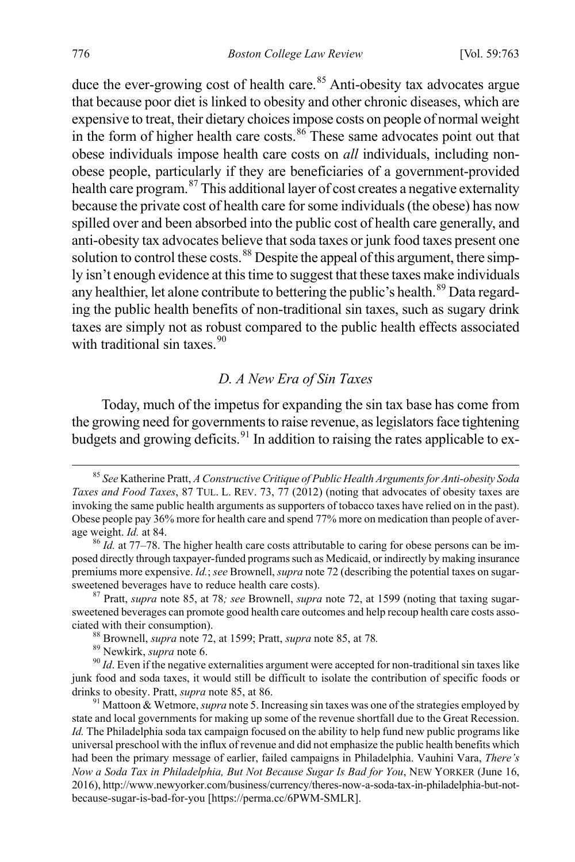duce the ever-growing cost of health care. $85$  Anti-obesity tax advocates argue that because poor diet is linked to obesity and other chronic diseases, which are expensive to treat, their dietary choices impose costs on people of normal weight in the form of higher health care costs.<sup>[86](#page-14-1)</sup> These same advocates point out that obese individuals impose health care costs on *all* individuals, including nonobese people, particularly if they are beneficiaries of a government-provided health care program.[87](#page-14-2) This additional layer of cost creates a negative externality because the private cost of health care for some individuals (the obese) has now spilled over and been absorbed into the public cost of health care generally, and anti-obesity tax advocates believe that soda taxes or junk food taxes present one solution to control these costs.<sup>[88](#page-14-3)</sup> Despite the appeal of this argument, there simply isn't enough evidence at this time to suggest that these taxes make individuals any healthier, let alone contribute to bettering the public's health.<sup>[89](#page-14-4)</sup> Data regarding the public health benefits of non-traditional sin taxes, such as sugary drink taxes are simply not as robust compared to the public health effects associated with traditional sin taxes. $90$ 

#### *D. A New Era of Sin Taxes*

Today, much of the impetus for expanding the sin tax base has come from the growing need for governments to raise revenue, as legislators face tightening budgets and growing deficits.<sup>[91](#page-14-6)</sup> In addition to raising the rates applicable to ex-

<span id="page-14-0"></span> <sup>85</sup> *See* Katherine Pratt, *A Constructive Critique of Public Health Arguments for Anti-obesity Soda Taxes and Food Taxes*, 87 TUL. L. REV. 73, 77 (2012) (noting that advocates of obesity taxes are invoking the same public health arguments as supporters of tobacco taxes have relied on in the past). Obese people pay 36% more for health care and spend 77% more on medication than people of average weight. *Id.* at 84. 84. 86 *Id.* at 84. 86 *Id.* at 77–78. The higher health care costs attributable to caring for obese persons can be im-

<span id="page-14-1"></span>posed directly through taxpayer-funded programs such as Medicaid, or indirectly by making insurance premiums more expensive. *Id.*; *see* Brownell, *supra* note 72 (describing the potential taxes on sugarsweetened beverages have to reduce health care costs). <sup>87</sup> Pratt, *supra* note 85, at 78*; see* Brownell, *supra* note 72, at 1599 (noting that taxing sugar-

<span id="page-14-2"></span>sweetened beverages can promote good health care outcomes and help recoup health care costs associated with their consumption).<br><sup>88</sup> Brownell, *supra* note 72, at 1599; Pratt, *supra* note 85, at 78.<br><sup>89</sup> Newkirk, *supra* note 6.<br><sup>90</sup> *Id*. Even if the negative externalities argument were accepted for non-traditiona

<span id="page-14-5"></span><span id="page-14-4"></span><span id="page-14-3"></span>junk food and soda taxes, it would still be difficult to isolate the contribution of specific foods or drinks to obesity. Pratt, *supra* note 85, at 86.<br><sup>91</sup> Mattoon & Wetmore, *supra* note 5. Increasing sin taxes was one of the strategies employed by

<span id="page-14-6"></span>state and local governments for making up some of the revenue shortfall due to the Great Recession. *Id.* The Philadelphia soda tax campaign focused on the ability to help fund new public programs like universal preschool with the influx of revenue and did not emphasize the public health benefits which had been the primary message of earlier, failed campaigns in Philadelphia. Vauhini Vara, *There's Now a Soda Tax in Philadelphia, But Not Because Sugar Is Bad for You*, NEW YORKER (June 16, 2016), http://www.newyorker.com/business/currency/theres-now-a-soda-tax-in-philadelphia-but-notbecause-sugar-is-bad-for-you [https://perma.cc/6PWM-SMLR].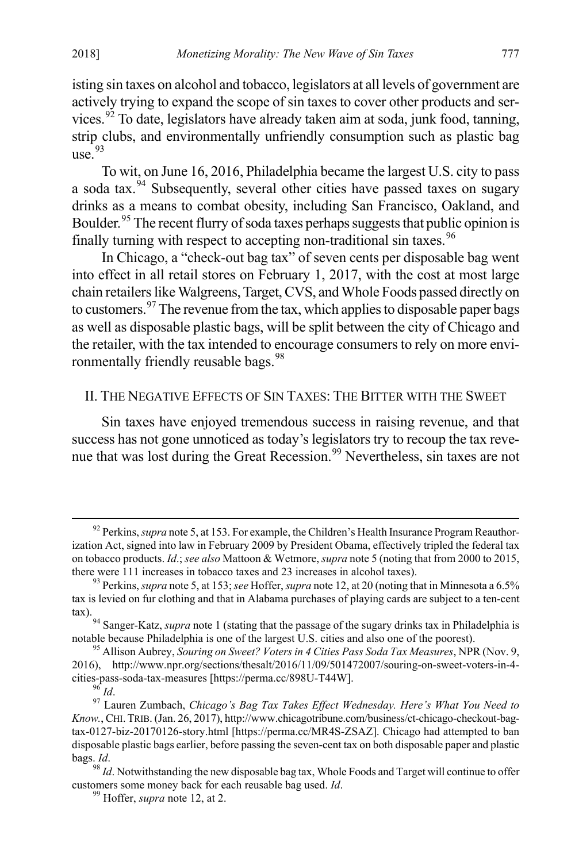isting sin taxes on alcohol and tobacco, legislators at all levels of government are actively trying to expand the scope of sin taxes to cover other products and ser-vices.<sup>[92](#page-15-0)</sup> To date, legislators have already taken aim at soda, junk food, tanning, strip clubs, and environmentally unfriendly consumption such as plastic bag use $^{93}$  $^{93}$  $^{93}$ 

To wit, on June 16, 2016, Philadelphia became the largest U.S. city to pass a soda tax.[94](#page-15-2) Subsequently, several other cities have passed taxes on sugary drinks as a means to combat obesity, including San Francisco, Oakland, and Boulder.<sup>[95](#page-15-3)</sup> The recent flurry of soda taxes perhaps suggests that public opinion is finally turning with respect to accepting non-traditional sin taxes.<sup>[96](#page-15-4)</sup>

In Chicago, a "check-out bag tax" of seven cents per disposable bag went into effect in all retail stores on February 1, 2017, with the cost at most large chain retailers like Walgreens, Target, CVS, and Whole Foods passed directly on to customers.<sup>[97](#page-15-5)</sup> The revenue from the tax, which applies to disposable paper bags as well as disposable plastic bags, will be split between the city of Chicago and the retailer, with the tax intended to encourage consumers to rely on more envi-ronmentally friendly reusable bags.<sup>[98](#page-15-6)</sup>

#### II. THE NEGATIVE EFFECTS OF SIN TAXES: THE BITTER WITH THE SWEET

Sin taxes have enjoyed tremendous success in raising revenue, and that success has not gone unnoticed as today's legislators try to recoup the tax revenue that was lost during the Great Recession.[99](#page-15-7) Nevertheless, sin taxes are not

<span id="page-15-0"></span><sup>&</sup>lt;sup>92</sup> Perkins, *supra* note 5, at 153. For example, the Children's Health Insurance Program Reauthorization Act, signed into law in February 2009 by President Obama, effectively tripled the federal tax on tobacco products. *Id*.; *see also* Mattoon & Wetmore, *supra* note 5 (noting that from 2000 to 2015, there were 111 increases in tobacco taxes and 23 increases in alcohol taxes). 93 Perkins, *supra* note 5, at 153; *see* Hoffer, *supra* note 12, at 20 (noting that in Minnesota a 6.5%

<span id="page-15-1"></span>tax is levied on fur clothing and that in Alabama purchases of playing cards are subject to a ten-cent

<span id="page-15-2"></span>tax).<br><sup>94</sup> Sanger-Katz, *supra* note 1 (stating that the passage of the sugary drinks tax in Philadelphia is notable because Philadelphia is one of the largest U.S. cities and also one of the poorest).

<span id="page-15-3"></span><sup>&</sup>lt;sup>95</sup> Allison Aubrey, *Souring on Sweet? Voters in 4 Cities Pass Soda Tax Measures*, NPR (Nov. 9, 2016), http://www.npr.org/sections/thesalt/2016/11/09/501472007/souring-on-sweet-voters-in-4-

<span id="page-15-5"></span><span id="page-15-4"></span>cities-pass-soda-tax-measures [https://perma.cc/898U-T44W]. 96 *Id*. 97 Lauren Zumbach, *Chicago's Bag Tax Takes Effect Wednesday. Here's What You Need to Know.*, CHI.TRIB. (Jan. 26, 2017), http://www.chicagotribune.com/business/ct-chicago-checkout-bagtax-0127-biz-20170126-story.html [https://perma.cc/MR4S-ZSAZ]. Chicago had attempted to ban disposable plastic bags earlier, before passing the seven-cent tax on both disposable paper and plastic bags. *Id*.<br><sup>98</sup> *Id*. Notwithstanding the new disposable bag tax, Whole Foods and Target will continue to offer

<span id="page-15-7"></span><span id="page-15-6"></span>customers some money back for each reusable bag used. *Id*. 99 Hoffer, *supra* note 12, at 2.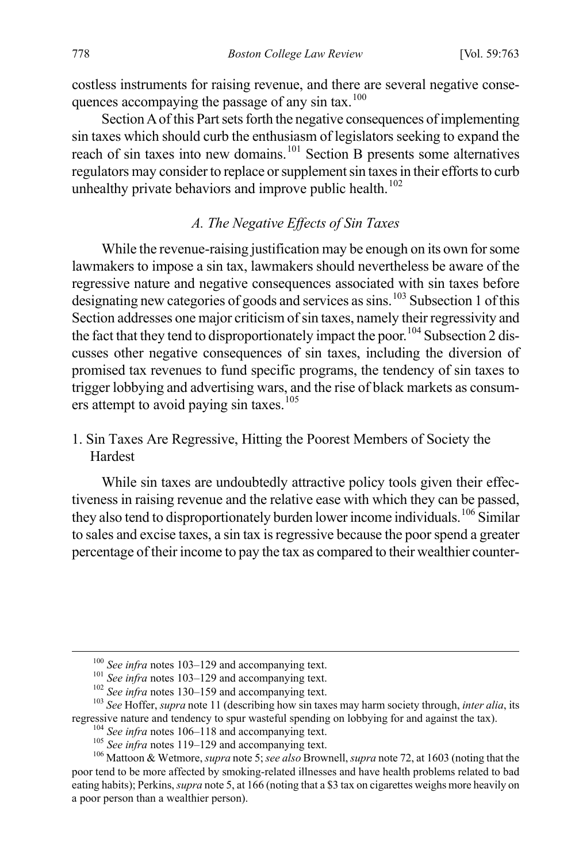costless instruments for raising revenue, and there are several negative consequences accompaying the passage of any sin tax. $100$ 

Section A of this Part sets forth the negative consequences of implementing sin taxes which should curb the enthusiasm of legislators seeking to expand the reach of sin taxes into new domains.<sup>[101](#page-16-1)</sup> Section B presents some alternatives regulators may consider to replace or supplement sin taxes in their efforts to curb unhealthy private behaviors and improve public health. $102$ 

#### *A. The Negative Effects of Sin Taxes*

While the revenue-raising justification may be enough on its own for some lawmakers to impose a sin tax, lawmakers should nevertheless be aware of the regressive nature and negative consequences associated with sin taxes before designating new categories of goods and services as sins.<sup>[103](#page-16-3)</sup> Subsection 1 of this Section addresses one major criticism of sin taxes, namely their regressivity and the fact that they tend to disproportionately impact the poor.<sup>[104](#page-16-4)</sup> Subsection 2 discusses other negative consequences of sin taxes, including the diversion of promised tax revenues to fund specific programs, the tendency of sin taxes to trigger lobbying and advertising wars, and the rise of black markets as consum-ers attempt to avoid paying sin taxes.<sup>[105](#page-16-5)</sup>

# 1. Sin Taxes Are Regressive, Hitting the Poorest Members of Society the Hardest

While sin taxes are undoubtedly attractive policy tools given their effectiveness in raising revenue and the relative ease with which they can be passed, they also tend to disproportionately burden lower income individuals.<sup>[106](#page-16-6)</sup> Similar to sales and excise taxes, a sin tax is regressive because the poor spend a greater percentage of their income to pay the tax as compared to their wealthier counter-

<span id="page-16-2"></span><span id="page-16-1"></span><span id="page-16-0"></span><sup>&</sup>lt;sup>100</sup> See infra notes 103–129 and accompanying text.<br><sup>101</sup> See infra notes 103–129 and accompanying text.<br><sup>102</sup> See infra notes 130–159 and accompanying text.<br><sup>103</sup> See Hoffer, *supra* note 11 (describing how sin taxes ma

<span id="page-16-6"></span><span id="page-16-5"></span><span id="page-16-4"></span><span id="page-16-3"></span><sup>&</sup>lt;sup>104</sup> See infra notes 106–118 and accompanying text.<br><sup>105</sup> See infra notes 119–129 and accompanying text.<br><sup>105</sup> Mattoon & Wetmore, *supra* note 5; *see also* Brownell, *supra* note 72, at 1603 (noting that the poor tend to be more affected by smoking-related illnesses and have health problems related to bad eating habits); Perkins, *supra* note 5, at 166 (noting that a \$3 tax on cigarettes weighs more heavily on a poor person than a wealthier person).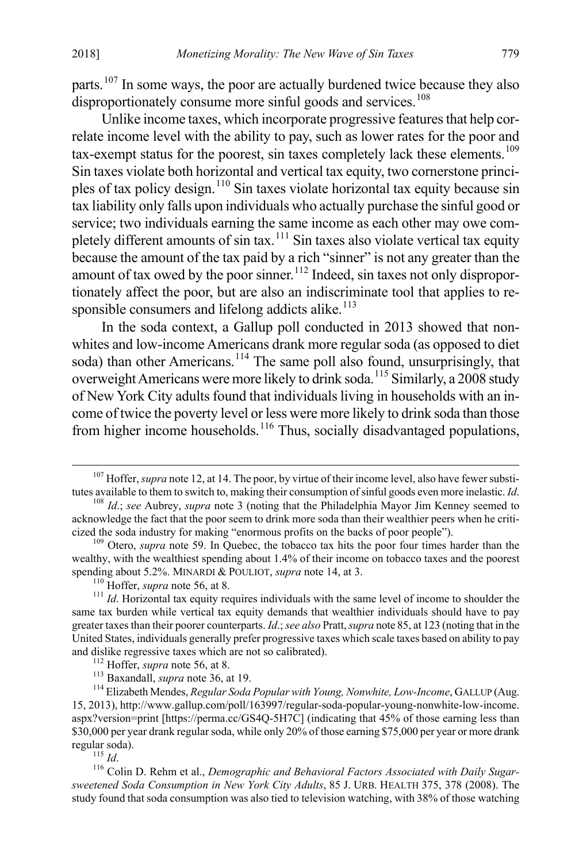parts.<sup>[107](#page-17-0)</sup> In some ways, the poor are actually burdened twice because they also disproportionately consume more sinful goods and services.<sup>[108](#page-17-1)</sup>

Unlike income taxes, which incorporate progressive features that help correlate income level with the ability to pay, such as lower rates for the poor and tax-exempt status for the poorest, sin taxes completely lack these elements.<sup>[109](#page-17-2)</sup> Sin taxes violate both horizontal and vertical tax equity, two cornerstone princi-ples of tax policy design.<sup>[110](#page-17-3)</sup> Sin taxes violate horizontal tax equity because sin tax liability only falls upon individuals who actually purchase the sinful good or service; two individuals earning the same income as each other may owe com-pletely different amounts of sin tax.<sup>[111](#page-17-4)</sup> Sin taxes also violate vertical tax equity because the amount of the tax paid by a rich "sinner" is not any greater than the amount of tax owed by the poor sinner.<sup>[112](#page-17-5)</sup> Indeed, sin taxes not only disproportionately affect the poor, but are also an indiscriminate tool that applies to responsible consumers and lifelong addicts alike. $113$ 

In the soda context, a Gallup poll conducted in 2013 showed that nonwhites and low-income Americans drank more regular soda (as opposed to diet soda) than other Americans.<sup>[114](#page-17-7)</sup> The same poll also found, unsurprisingly, that overweight Americans were more likely to drink soda.[115](#page-17-8) Similarly, a 2008 study of New York City adults found that individuals living in households with an income of twice the poverty level or less were more likely to drink soda than those from higher income households.<sup>[116](#page-17-9)</sup> Thus, socially disadvantaged populations.

<span id="page-17-9"></span><span id="page-17-8"></span>*sweetened Soda Consumption in New York City Adults*, 85 J. URB. HEALTH 375, 378 (2008). The study found that soda consumption was also tied to television watching, with 38% of those watching

<span id="page-17-0"></span><sup>&</sup>lt;sup>107</sup> Hoffer, *supra* note 12, at 14. The poor, by virtue of their income level, also have fewer substitutes available to them to switch to, making their consumption of sinful goods even more inelastic. *Id*.

<span id="page-17-1"></span><sup>&</sup>lt;sup>108</sup> Id.; see Aubrey, *supra* note 3 (noting that the Philadelphia Mayor Jim Kenney seemed to acknowledge the fact that the poor seem to drink more soda than their wealthier peers when he criticized the soda industry for making "enormous profits on the backs of poor people"). 109 Otero, *supra* note 59. In Quebec, the tobacco tax hits the poor four times harder than the

<span id="page-17-2"></span>wealthy, with the wealthiest spending about 1.4% of their income on tobacco taxes and the poorest spending about 5.2%. MINARDI & POULIOT, *supra* note 14, at 3.<br><sup>110</sup> Hoffer, *supra* note 56, at 8.<br><sup>111</sup> *Id*. Horizontal tax equity requires individuals with the same level of income to shoulder the

<span id="page-17-4"></span><span id="page-17-3"></span>same tax burden while vertical tax equity demands that wealthier individuals should have to pay greater taxes than their poorer counterparts. *Id*.; *see also* Pratt, *supra* note 85, at 123 (noting that in the United States, individuals generally prefer progressive taxes which scale taxes based on ability to pay and dislike regressive taxes which are not so calibrated).<br><sup>112</sup> Hoffer, *supra* note 56, at 8.<br><sup>113</sup> Baxandall, *supra* note 36, at 19.<br><sup>114</sup> Elizabeth Mendes, *Regular Soda Popular with Young, Nonwhite, Low-Income*, GALL

<span id="page-17-7"></span><span id="page-17-6"></span><span id="page-17-5"></span><sup>15, 2013),</sup> http://www.gallup.com/poll/163997/regular-soda-popular-young-nonwhite-low-income. aspx?version=print [https://perma.cc/GS4Q-5H7C] (indicating that 45% of those earning less than \$30,000 per year drank regular soda, while only 20% of those earning \$75,000 per year or more drank regular soda). <sup>115</sup> *Id*. 116 Colin D. Rehm et al., *Demographic and Behavioral Factors Associated with Daily Sugar-*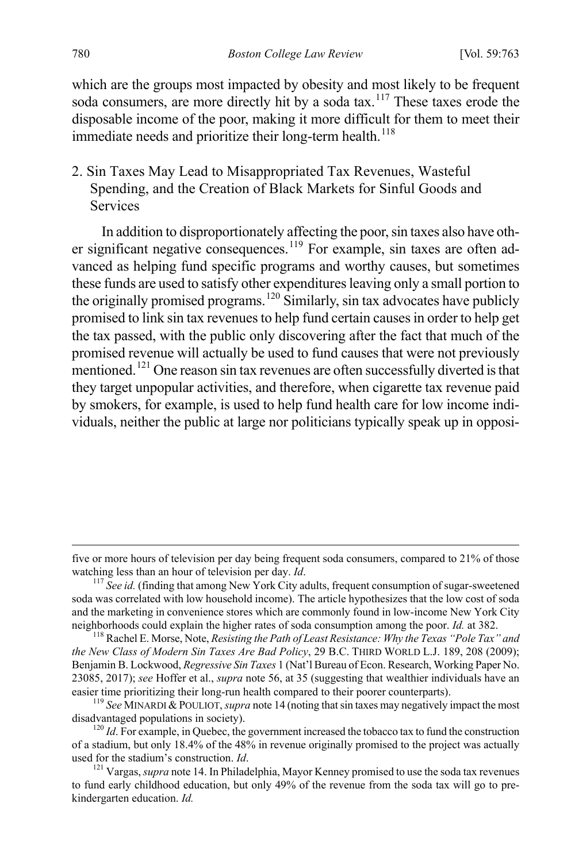which are the groups most impacted by obesity and most likely to be frequent soda consumers, are more directly hit by a soda tax.<sup>[117](#page-18-0)</sup> These taxes erode the disposable income of the poor, making it more difficult for them to meet their immediate needs and prioritize their long-term health.<sup>[118](#page-18-1)</sup>

2. Sin Taxes May Lead to Misappropriated Tax Revenues, Wasteful Spending, and the Creation of Black Markets for Sinful Goods and Services

In addition to disproportionately affecting the poor, sin taxes also have oth-er significant negative consequences.<sup>[119](#page-18-2)</sup> For example, sin taxes are often advanced as helping fund specific programs and worthy causes, but sometimes these funds are used to satisfy other expenditures leaving only a small portion to the originally promised programs.<sup>[120](#page-18-3)</sup> Similarly, sin tax advocates have publicly promised to link sin tax revenues to help fund certain causes in order to help get the tax passed, with the public only discovering after the fact that much of the promised revenue will actually be used to fund causes that were not previously mentioned.<sup>[121](#page-18-4)</sup> One reason sin tax revenues are often successfully diverted is that they target unpopular activities, and therefore, when cigarette tax revenue paid by smokers, for example, is used to help fund health care for low income individuals, neither the public at large nor politicians typically speak up in opposi-

five or more hours of television per day being frequent soda consumers, compared to 21% of those watching less than an hour of television per day. *Id*.<br><sup>117</sup> *See id.* (finding that among New York City adults, frequent consumption of sugar-sweetened

<span id="page-18-0"></span>soda was correlated with low household income). The article hypothesizes that the low cost of soda and the marketing in convenience stores which are commonly found in low-income New York City neighborhoods could explain the higher rates of soda consumption among the poor. *Id.* at 382. 118 Rachel E. Morse, Note, *Resisting the Path of Least Resistance: Why the Texas "Pole Tax" and* 

<span id="page-18-1"></span>*the New Class of Modern Sin Taxes Are Bad Policy*, 29 B.C. THIRD WORLD L.J. 189, 208 (2009); Benjamin B. Lockwood, *Regressive Sin Taxes* 1 (Nat'l Bureau of Econ. Research, Working Paper No. 23085, 2017); *see* Hoffer et al., *supra* note 56, at 35 (suggesting that wealthier individuals have an

<span id="page-18-2"></span>easier time prioritizing their long-run health compared to their poorer counterparts).<br><sup>119</sup> See MINARDI & POULIOT, *supra* note 14 (noting that sin taxes may negatively impact the most disadvantaged populations in society

<span id="page-18-3"></span> $\frac{d^{120}}{d}$ . For example, in Quebec, the government increased the tobacco tax to fund the construction of a stadium, but only 18.4% of the 48% in revenue originally promised to the project was actually used for the stadium's construction. *Id*.<br><sup>121</sup> Vargas, *supra* note 14. In Philadelphia, Mayor Kenney promised to use the soda tax revenues

<span id="page-18-4"></span>to fund early childhood education, but only 49% of the revenue from the soda tax will go to prekindergarten education. *Id.*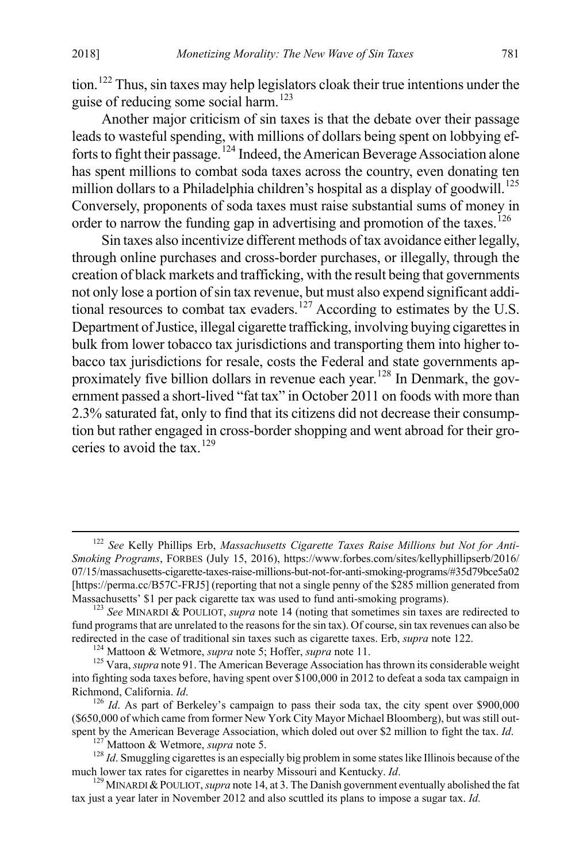tion.<sup>[122](#page-19-0)</sup> Thus, sin taxes may help legislators cloak their true intentions under the guise of reducing some social harm.<sup>[123](#page-19-1)</sup>

Another major criticism of sin taxes is that the debate over their passage leads to wasteful spending, with millions of dollars being spent on lobbying efforts to fight their passage.[124](#page-19-2) Indeed, the American Beverage Association alone has spent millions to combat soda taxes across the country, even donating ten million dollars to a Philadelphia children's hospital as a display of goodwill.<sup>[125](#page-19-3)</sup> Conversely, proponents of soda taxes must raise substantial sums of money in order to narrow the funding gap in advertising and promotion of the taxes.<sup>[126](#page-19-4)</sup>

Sin taxes also incentivize different methods of tax avoidance either legally, through online purchases and cross-border purchases, or illegally, through the creation of black markets and trafficking, with the result being that governments not only lose a portion of sin tax revenue, but must also expend significant addi-tional resources to combat tax evaders.<sup>[127](#page-19-5)</sup> According to estimates by the U.S. Department of Justice, illegal cigarette trafficking, involving buying cigarettes in bulk from lower tobacco tax jurisdictions and transporting them into higher tobacco tax jurisdictions for resale, costs the Federal and state governments approximately five billion dollars in revenue each year.[128](#page-19-6) In Denmark, the government passed a short-lived "fat tax" in October 2011 on foods with more than 2.3% saturated fat, only to find that its citizens did not decrease their consumption but rather engaged in cross-border shopping and went abroad for their groceries to avoid the tax. $129$ 

<span id="page-19-0"></span> <sup>122</sup> *See* Kelly Phillips Erb, *Massachusetts Cigarette Taxes Raise Millions but Not for Anti-Smoking Programs*, FORBES (July 15, 2016), https://www.forbes.com/sites/kellyphillipserb/2016/ 07/15/massachusetts-cigarette-taxes-raise-millions-but-not-for-anti-smoking-programs/#35d79bce5a02 [https://perma.cc/B57C-FRJ5] (reporting that not a single penny of the \$285 million generated from Massachusetts' \$1 per pack cigarette tax was used to fund anti-smoking programs).

<span id="page-19-1"></span> $^{123}$  See MINARDI & POULIOT, *supra* note 14 (noting that sometimes sin taxes are redirected to fund programs that are unrelated to the reasons for the sin tax). Of course, sin tax revenues can also be redirected in the case of traditional sin taxes such as cigarette taxes. Erb, *supra* note 122.<br><sup>124</sup> Mattoon & Wetmore, *supra* note 5; Hoffer, *supra* note 11.<br><sup>125</sup> Vara, *supra* note 91. The American Beverage Associat

<span id="page-19-3"></span><span id="page-19-2"></span>into fighting soda taxes before, having spent over \$100,000 in 2012 to defeat a soda tax campaign in Richmond, California. *Id*. *Id*. *As part of Berkeley's campaign to pass their soda tax, the city spent over \$900,000* 

<span id="page-19-4"></span><sup>(\$650,000</sup> of which came from former New York City Mayor Michael Bloomberg), but was still out-<br>spent by the American Beverage Association, which doled out over \$2 million to fight the tax.  $Id$ .

<span id="page-19-6"></span><span id="page-19-5"></span><sup>&</sup>lt;sup>127</sup> Mattoon & Wetmore, *supra* note 5.<br><sup>128</sup> *Id*. Smuggling cigarettes is an especially big problem in some states like Illinois because of the much lower tax rates for cigarettes in nearby Missouri and Kentucky. *Id*.

<span id="page-19-7"></span><sup>&</sup>lt;sup>129</sup> MINARDI & POULIOT, *supra* note 14, at 3. The Danish government eventually abolished the fat tax just a year later in November 2012 and also scuttled its plans to impose a sugar tax. *Id.*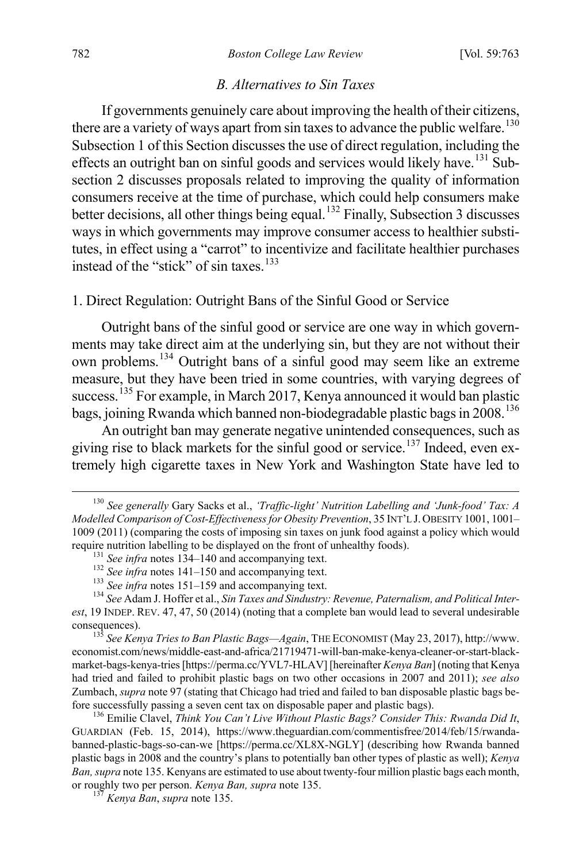#### *B. Alternatives to Sin Taxes*

If governments genuinely care about improving the health of their citizens, there are a variety of ways apart from sin taxes to advance the public welfare.<sup>[130](#page-20-0)</sup> Subsection 1 of this Section discusses the use of direct regulation, including the effects an outright ban on sinful goods and services would likely have.<sup>[131](#page-20-1)</sup> Subsection 2 discusses proposals related to improving the quality of information consumers receive at the time of purchase, which could help consumers make better decisions, all other things being equal.<sup>[132](#page-20-2)</sup> Finally, Subsection 3 discusses ways in which governments may improve consumer access to healthier substitutes, in effect using a "carrot" to incentivize and facilitate healthier purchases instead of the "stick" of sin taxes. [133](#page-20-3)

#### 1. Direct Regulation: Outright Bans of the Sinful Good or Service

Outright bans of the sinful good or service are one way in which governments may take direct aim at the underlying sin, but they are not without their own problems.[134](#page-20-4) Outright bans of a sinful good may seem like an extreme measure, but they have been tried in some countries, with varying degrees of success.<sup>[135](#page-20-5)</sup> For example, in March 2017, Kenya announced it would ban plastic bags, joining Rwanda which banned non-biodegradable plastic bags in 2008.<sup>[136](#page-20-6)</sup>

An outright ban may generate negative unintended consequences, such as giving rise to black markets for the sinful good or service.<sup>[137](#page-20-7)</sup> Indeed, even extremely high cigarette taxes in New York and Washington State have led to

<span id="page-20-5"></span>economist.com/news/middle-east-and-africa/21719471-will-ban-make-kenya-cleaner-or-start-blackmarket-bags-kenya-tries [https://perma.cc/YVL7-HLAV] [hereinafter *Kenya Ban*] (noting that Kenya had tried and failed to prohibit plastic bags on two other occasions in 2007 and 2011); *see also*  Zumbach, *supra* note 97 (stating that Chicago had tried and failed to ban disposable plastic bags before successfully passing a seven cent tax on disposable paper and plastic bags). <sup>136</sup> Emilie Clavel, *Think You Can't Live Without Plastic Bags? Consider This: Rwanda Did It*,

<span id="page-20-6"></span>GUARDIAN (Feb. 15, 2014), https://www.theguardian.com/commentisfree/2014/feb/15/rwandabanned-plastic-bags-so-can-we [https://perma.cc/XL8X-NGLY] (describing how Rwanda banned plastic bags in 2008 and the country's plans to potentially ban other types of plastic as well); *Kenya Ban, supra* note 135. Kenyans are estimated to use about twenty-four million plastic bags each month, or roughly two per person. *Kenya Ban, supra* note 135. <sup>137</sup> *Kenya Ban*, *supra* note 135.

<span id="page-20-7"></span>

<span id="page-20-0"></span> <sup>130</sup> *See generally* Gary Sacks et al., *'Traffic-light' Nutrition Labelling and 'Junk-food' Tax: A Modelled Comparison of Cost-Effectiveness for Obesity Prevention*, 35 INT'L J. OBESITY 1001, 1001– 1009 (2011) (comparing the costs of imposing sin taxes on junk food against a policy which would require nutrition labelling to be displayed on the front of unhealthy foods).<br>
<sup>131</sup> See infra notes 134–140 and accompanying text.<br>
<sup>132</sup> See infra notes 141–150 and accompanying text.<br>
<sup>133</sup> See infra notes 151–159 and

<span id="page-20-4"></span><span id="page-20-3"></span><span id="page-20-2"></span><span id="page-20-1"></span>*est*, 19 INDEP. REV. 47, 47, 50 (2014) (noting that a complete ban would lead to several undesirable consequences). 135 *See Kenya Tries to Ban Plastic Bags—Again*, THE ECONOMIST (May 23, 2017), http://www.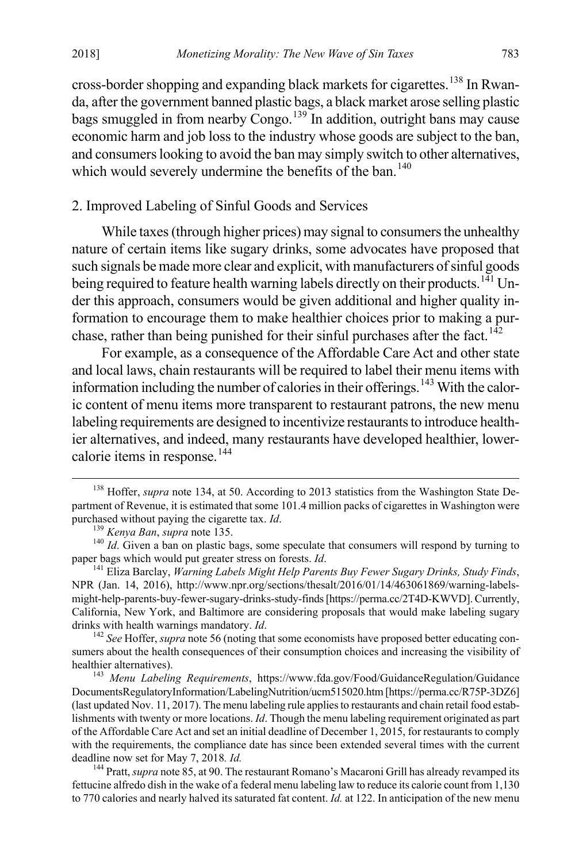cross-border shopping and expanding black markets for cigarettes.<sup>[138](#page-21-0)</sup> In Rwanda, after the government banned plastic bags, a black market arose selling plastic bags smuggled in from nearby Congo.<sup>[139](#page-21-1)</sup> In addition, outright bans may cause economic harm and job loss to the industry whose goods are subject to the ban, and consumers looking to avoid the ban may simply switch to other alternatives, which would severely undermine the benefits of the ban.<sup>[140](#page-21-2)</sup>

# 2. Improved Labeling of Sinful Goods and Services

While taxes (through higher prices) may signal to consumers the unhealthy nature of certain items like sugary drinks, some advocates have proposed that such signals be made more clear and explicit, with manufacturers of sinful goods being required to feature health warning labels directly on their products.<sup>141</sup> Under this approach, consumers would be given additional and higher quality information to encourage them to make healthier choices prior to making a pur-chase, rather than being punished for their sinful purchases after the fact.<sup>[142](#page-21-4)</sup>

For example, as a consequence of the Affordable Care Act and other state and local laws, chain restaurants will be required to label their menu items with information including the number of calories in their offerings.<sup>[143](#page-21-5)</sup> With the caloric content of menu items more transparent to restaurant patrons, the new menu labeling requirements are designed to incentivize restaurants to introduce healthier alternatives, and indeed, many restaurants have developed healthier, lower-calorie items in response.<sup>[144](#page-21-6)</sup>

<span id="page-21-0"></span><sup>&</sup>lt;sup>138</sup> Hoffer, *supra* note 134, at 50. According to 2013 statistics from the Washington State Department of Revenue, it is estimated that some 101.4 million packs of cigarettes in Washington were purchased without paying the cigarette tax.  $Id$ .

<span id="page-21-2"></span><span id="page-21-1"></span><sup>&</sup>lt;sup>139</sup> *Kenya Ban, supra* note 135. <sup>140</sup> *Id.* Given a ban on plastic bags, some speculate that consumers will respond by turning to paper bags which would put greater stress on forests. *Id.* 

<span id="page-21-3"></span><sup>&</sup>lt;sup>141</sup> Eliza Barclay, *Warning Labels Might Help Parents Buy Fewer Sugary Drinks, Study Finds,* NPR (Jan. 14, 2016), http://www.npr.org/sections/thesalt/2016/01/14/463061869/warning-labelsmight-help-parents-buy-fewer-sugary-drinks-study-finds [https://perma.cc/2T4D-KWVD]. Currently, California, New York, and Baltimore are considering proposals that would make labeling sugary drinks with health warnings mandatory. *Id*.  $\frac{142}{56}$  See Hoffer, *supra* note 56 (noting that some economists have proposed better educating con-

<span id="page-21-4"></span>sumers about the health consequences of their consumption choices and increasing the visibility of healthier alternatives).

<span id="page-21-5"></span><sup>&</sup>lt;sup>143</sup> Menu Labeling Requirements, https://www.fda.gov/Food/GuidanceRegulation/Guidance DocumentsRegulatoryInformation/LabelingNutrition/ucm515020.htm [https://perma.cc/R75P-3DZ6] (last updated Nov. 11, 2017). The menu labeling rule applies to restaurants and chain retail food establishments with twenty or more locations. *Id*. Though the menu labeling requirement originated as part of the Affordable Care Act and set an initial deadline of December 1, 2015, for restaurants to comply with the requirements, the compliance date has since been extended several times with the current deadline now set for May 7, 2018. *Id.* 14. 144 Pratt, *supra* note 85, at 90. The restaurant Romano's Macaroni Grill has already revamped its

<span id="page-21-6"></span>fettucine alfredo dish in the wake of a federal menu labeling law to reduce its calorie count from 1,130 to 770 calories and nearly halved its saturated fat content. *Id.* at 122. In anticipation of the new menu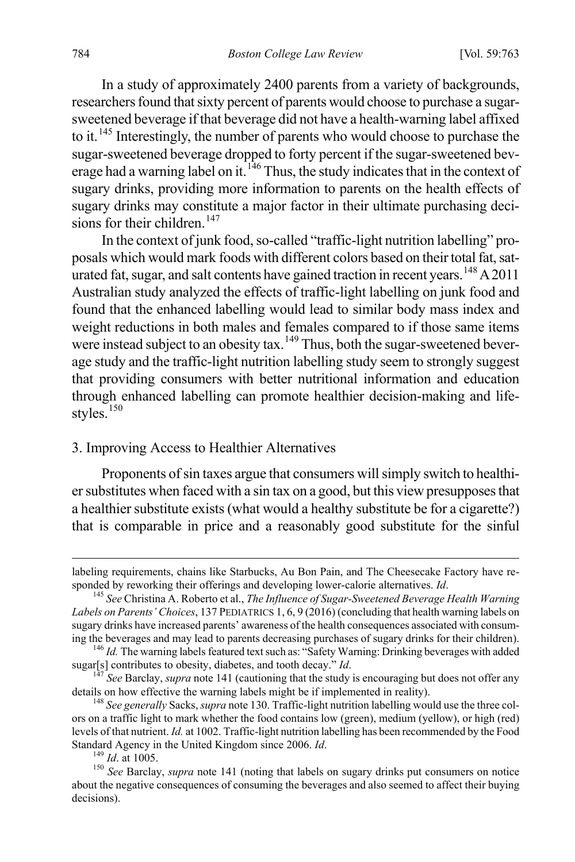In a study of approximately 2400 parents from a variety of backgrounds, researchers found that sixty percent of parents would choose to purchase a sugarsweetened beverage if that beverage did not have a health-warning label affixed to it.[145](#page-22-0) Interestingly, the number of parents who would choose to purchase the sugar-sweetened beverage dropped to forty percent if the sugar-sweetened bev-erage had a warning label on it.<sup>[146](#page-22-1)</sup> Thus, the study indicates that in the context of sugary drinks, providing more information to parents on the health effects of sugary drinks may constitute a major factor in their ultimate purchasing decisions for their children. $147$ 

In the context of junk food, so-called "traffic-light nutrition labelling" proposals which would mark foods with different colors based on their total fat, sat-urated fat, sugar, and salt contents have gained traction in recent years.<sup>[148](#page-22-3)</sup> A 2011 Australian study analyzed the effects of traffic-light labelling on junk food and found that the enhanced labelling would lead to similar body mass index and weight reductions in both males and females compared to if those same items were instead subject to an obesity tax.<sup>[149](#page-22-4)</sup> Thus, both the sugar-sweetened beverage study and the traffic-light nutrition labelling study seem to strongly suggest that providing consumers with better nutritional information and education through enhanced labelling can promote healthier decision-making and life-styles.<sup>[150](#page-22-5)</sup>

#### 3. Improving Access to Healthier Alternatives

Proponents of sin taxes argue that consumers will simply switch to healthier substitutes when faced with a sin tax on a good, but this view presupposes that a healthier substitute exists (what would a healthy substitute be for a cigarette?) that is comparable in price and a reasonably good substitute for the sinful

labeling requirements, chains like Starbucks, Au Bon Pain, and The Cheesecake Factory have responded by reworking their offerings and developing lower-calorie alternatives. *Id.* <sup>145</sup> See Christina A. Roberto et al., *The Influence of Sugar-Sweetened Beverage Health Warning* 

<span id="page-22-0"></span>*Labels on Parents' Choices*, 137 PEDIATRICS 1, 6, 9 (2016) (concluding that health warning labels on sugary drinks have increased parents' awareness of the health consequences associated with consuming the beverages and may lead to parents decreasing purchases of sugary drinks for their children).

<span id="page-22-1"></span><sup>&</sup>lt;sup>146</sup> *Id.* The warning labels featured text such as: "Safety Warning: Drinking beverages with added sugar[s] contributes to obesity, diabetes, and tooth decay." *Id.* 

<span id="page-22-2"></span><sup>&</sup>lt;sup>147</sup> See Barclay, *supra* note 141 (cautioning that the study is encouraging but does not offer any details on how effective the warning labels might be if implemented in reality).

<span id="page-22-3"></span><sup>&</sup>lt;sup>148</sup> See generally Sacks, *supra* note 130. Traffic-light nutrition labelling would use the three colors on a traffic light to mark whether the food contains low (green), medium (yellow), or high (red) levels of that nutrient. *Id.* at 1002. Traffic-light nutrition labelling has been recommended by the Food Standard Agency in the United Kingdom since 2006. *Id*. <sup>149</sup> *Id*. at 1005.<br><sup>150</sup> *See* Barclay, *supra* note 141 (noting that labels on sugary drinks put consumers on notice

<span id="page-22-5"></span><span id="page-22-4"></span>about the negative consequences of consuming the beverages and also seemed to affect their buying decisions).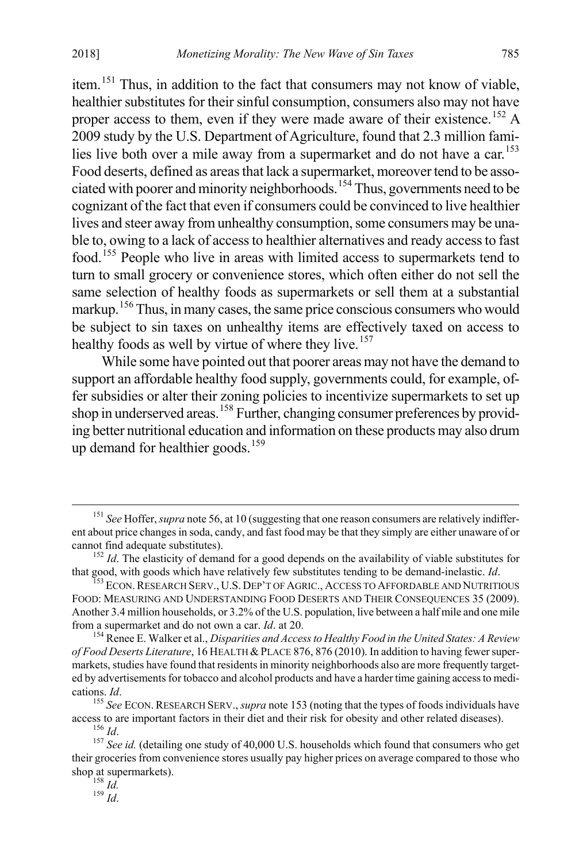item.[151](#page-23-0) Thus, in addition to the fact that consumers may not know of viable, healthier substitutes for their sinful consumption, consumers also may not have proper access to them, even if they were made aware of their existence.<sup>[152](#page-23-1)</sup> A 2009 study by the U.S. Department of Agriculture, found that 2.3 million fami-lies live both over a mile away from a supermarket and do not have a car.<sup>[153](#page-23-2)</sup> Food deserts, defined as areas that lack a supermarket, moreover tend to be asso-ciated with poorer and minority neighborhoods.<sup>[154](#page-23-3)</sup> Thus, governments need to be cognizant of the fact that even if consumers could be convinced to live healthier lives and steer away from unhealthy consumption, some consumers may be unable to, owing to a lack of access to healthier alternatives and ready access to fast food.[155](#page-23-4) People who live in areas with limited access to supermarkets tend to turn to small grocery or convenience stores, which often either do not sell the same selection of healthy foods as supermarkets or sell them at a substantial markup.<sup>[156](#page-23-5)</sup> Thus, in many cases, the same price conscious consumers who would be subject to sin taxes on unhealthy items are effectively taxed on access to healthy foods as well by virtue of where they live.<sup>[157](#page-23-6)</sup>

While some have pointed out that poorer areas may not have the demand to support an affordable healthy food supply, governments could, for example, offer subsidies or alter their zoning policies to incentivize supermarkets to set up shop in underserved areas.<sup>[158](#page-23-7)</sup> Further, changing consumer preferences by providing better nutritional education and information on these products may also drum up demand for healthier goods.<sup>[159](#page-23-8)</sup>

<span id="page-23-8"></span>

<span id="page-23-0"></span><sup>&</sup>lt;sup>151</sup> See Hoffer, *supra* note 56, at 10 (suggesting that one reason consumers are relatively indifferent about price changes in soda, candy, and fast food may be that they simply are either unaware of or

<span id="page-23-1"></span>cannot find adequate substitutes).<br><sup>152</sup> *Id*. The elasticity of demand for a good depends on the availability of viable substitutes for<br>that good, with goods which have relatively few substitutes tending to be demand-inel

<span id="page-23-2"></span><sup>&</sup>lt;sup>153</sup> ECON, RESEARCH SERV., U.S. DEP'T OF AGRIC., ACCESS TO AFFORDABLE AND NUTRITIOUS FOOD: MEASURING AND UNDERSTANDING FOOD DESERTS AND THEIR CONSEQUENCES 35 (2009). Another 3.4 million households, or 3.2% of the U.S. population, live between a half mile and one mile from a supermarket and do not own a car. *Id.* at 20.

<span id="page-23-3"></span><sup>&</sup>lt;sup>154</sup> Renee E. Walker et al., *Disparities and Access to Healthy Food in the United States: A Review of Food Deserts Literature*, 16 HEALTH &PLACE 876, 876 (2010). In addition to having fewer supermarkets, studies have found that residents in minority neighborhoods also are more frequently targeted by advertisements for tobacco and alcohol products and have a harder time gaining access to medi-

<span id="page-23-4"></span>cations. *Id*. <sup>155</sup> See ECON. RESEARCH SERV., *supra* note 153 (noting that the types of foods individuals have access to are important factors in their diet and their risk for obesity and other related diseases).

<span id="page-23-7"></span><span id="page-23-6"></span><span id="page-23-5"></span><sup>&</sup>lt;sup>156</sup> *Id.*<br><sup>157</sup> See id. (detailing one study of 40,000 U.S. households which found that consumers who get their groceries from convenience stores usually pay higher prices on average compared to those who shop at supermarkets). <sup>158</sup> *Id.* <sup>159</sup> *Id*.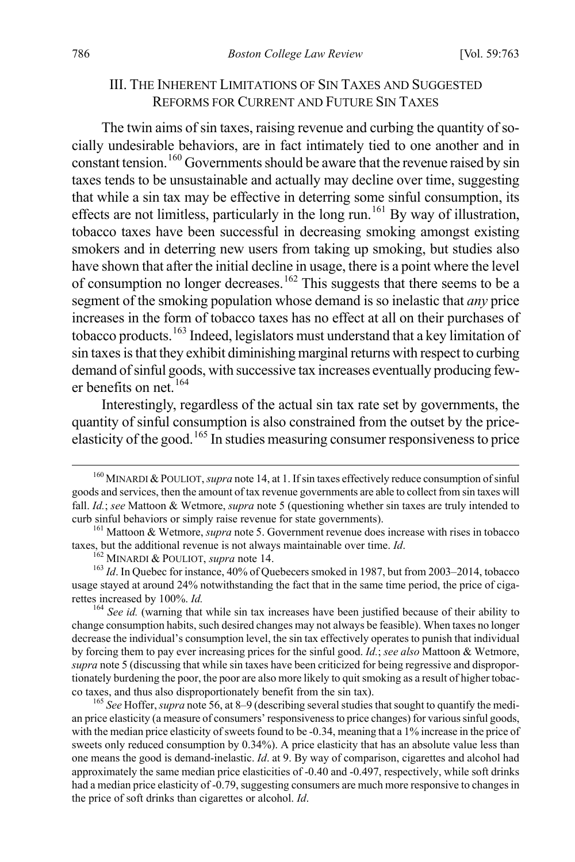#### III. THE INHERENT LIMITATIONS OF SIN TAXES AND SUGGESTED REFORMS FOR CURRENT AND FUTURE SIN TAXES

The twin aims of sin taxes, raising revenue and curbing the quantity of socially undesirable behaviors, are in fact intimately tied to one another and in constant tension.[160](#page-24-0) Governments should be aware that the revenue raised by sin taxes tends to be unsustainable and actually may decline over time, suggesting that while a sin tax may be effective in deterring some sinful consumption, its effects are not limitless, particularly in the long run.<sup>[161](#page-24-1)</sup> By way of illustration, tobacco taxes have been successful in decreasing smoking amongst existing smokers and in deterring new users from taking up smoking, but studies also have shown that after the initial decline in usage, there is a point where the level of consumption no longer decreases.<sup>[162](#page-24-2)</sup> This suggests that there seems to be a segment of the smoking population whose demand is so inelastic that *any* price increases in the form of tobacco taxes has no effect at all on their purchases of tobacco products.[163](#page-24-3) Indeed, legislators must understand that a key limitation of sin taxes is that they exhibit diminishing marginal returns with respect to curbing demand of sinful goods, with successive tax increases eventually producing few-er benefits on net.<sup>[164](#page-24-4)</sup>

Interestingly, regardless of the actual sin tax rate set by governments, the quantity of sinful consumption is also constrained from the outset by the priceelasticity of the good.[165](#page-24-5) In studies measuring consumer responsiveness to price

<span id="page-24-5"></span><sup>165</sup> See Hoffer, *supra* note 56, at 8–9 (describing several studies that sought to quantify the median price elasticity (a measure of consumers' responsiveness to price changes) for various sinful goods, with the median price elasticity of sweets found to be -0.34, meaning that a 1% increase in the price of sweets only reduced consumption by 0.34%). A price elasticity that has an absolute value less than one means the good is demand-inelastic. *Id*. at 9. By way of comparison, cigarettes and alcohol had approximately the same median price elasticities of -0.40 and -0.497, respectively, while soft drinks had a median price elasticity of -0.79, suggesting consumers are much more responsive to changes in the price of soft drinks than cigarettes or alcohol. *Id*.

<span id="page-24-0"></span> <sup>160</sup> MINARDI &POULIOT, *supra* note 14, at 1. If sin taxes effectively reduce consumption of sinful goods and services, then the amount of tax revenue governments are able to collect from sin taxes will fall. *Id.*; *see* Mattoon & Wetmore, *supra* note 5 (questioning whether sin taxes are truly intended to

<span id="page-24-1"></span>curb sinful behaviors or simply raise revenue for state governments).<br><sup>161</sup> Mattoon & Wetmore, *supra* note 5. Government revenue does increase with rises in tobacco taxes, but the additional revenue is not always maintain

<span id="page-24-3"></span><span id="page-24-2"></span><sup>&</sup>lt;sup>162</sup> MINARDI & POULIOT, *supra* note 14.<br><sup>162</sup> MINARDI & POULIOT, *supra* note 14.<br><sup>163</sup> Id. In Quebec for instance, 40% of Quebecers smoked in 1987, but from 2003–2014, tobacco usage stayed at around 24% notwithstanding the fact that in the same time period, the price of cigarettes increased by 100%. *Id.*<br><sup>164</sup> See id. (warning that while sin tax increases have been justified because of their ability to

<span id="page-24-4"></span>change consumption habits, such desired changes may not always be feasible). When taxes no longer decrease the individual's consumption level, the sin tax effectively operates to punish that individual by forcing them to pay ever increasing prices for the sinful good. *Id.*; *see also* Mattoon & Wetmore, *supra* note 5 (discussing that while sin taxes have been criticized for being regressive and disproportionately burdening the poor, the poor are also more likely to quit smoking as a result of higher tobac-<br>co taxes, and thus also disproportionately benefit from the sin tax).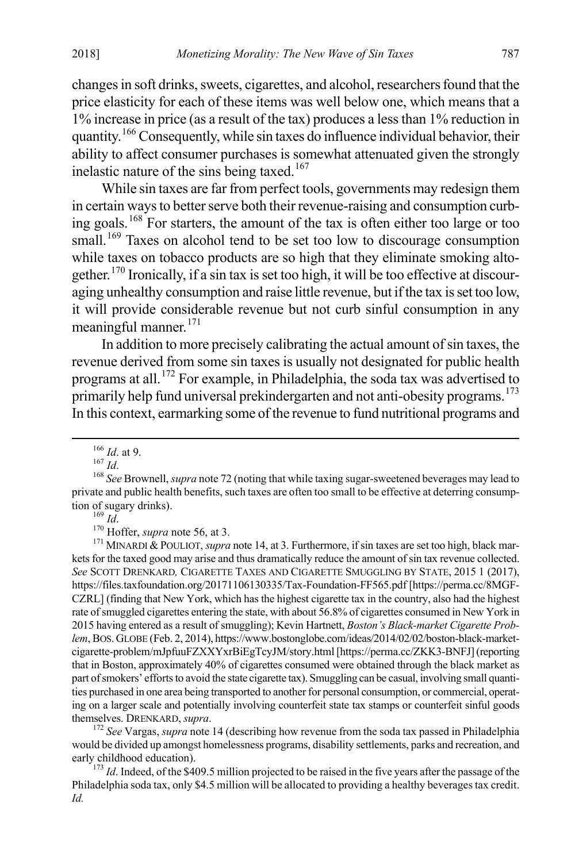changes in soft drinks, sweets, cigarettes, and alcohol, researchers found that the price elasticity for each of these items was well below one, which means that a 1% increase in price (as a result of the tax) produces a less than 1% reduction in quantity.[166](#page-25-0) Consequently, while sin taxes do influence individual behavior, their ability to affect consumer purchases is somewhat attenuated given the strongly inelastic nature of the sins being taxed.<sup>[167](#page-25-1)</sup>

While sin taxes are far from perfect tools, governments may redesign them in certain ways to better serve both their revenue-raising and consumption curbing goals.[168](#page-25-2) For starters, the amount of the tax is often either too large or too small.<sup>[169](#page-25-3)</sup> Taxes on alcohol tend to be set too low to discourage consumption while taxes on tobacco products are so high that they eliminate smoking altogether.[170](#page-25-4) Ironically, if a sin tax is set too high, it will be too effective at discouraging unhealthy consumption and raise little revenue, but if the tax is set too low, it will provide considerable revenue but not curb sinful consumption in any meaningful manner.<sup>[171](#page-25-5)</sup>

In addition to more precisely calibrating the actual amount of sin taxes, the revenue derived from some sin taxes is usually not designated for public health programs at all.[172](#page-25-6) For example, in Philadelphia, the soda tax was advertised to primarily help fund universal prekindergarten and not anti-obesity programs.<sup>[173](#page-25-7)</sup> In this context, earmarking some of the revenue to fund nutritional programs and

<span id="page-25-5"></span><span id="page-25-4"></span><span id="page-25-3"></span>tion *Id*.<br><sup>170</sup> Hoffer, *supra* note 56, at 3.<br><sup>170</sup> Hoffer, *supra* note 56, at 3.<br><sup>171</sup> MINARDI & POULIOT, *supra* note 14, at 3. Furthermore, if sin taxes are set too high, black markets for the taxed good may arise and thus dramatically reduce the amount of sin tax revenue collected. *See* SCOTT DRENKARD*,* CIGARETTE TAXES AND CIGARETTE SMUGGLING BY STATE, 2015 1 (2017), https://files.taxfoundation.org/20171106130335/Tax-Foundation-FF565.pdf [https://perma.cc/8MGF-CZRL] (finding that New York, which has the highest cigarette tax in the country, also had the highest rate of smuggled cigarettes entering the state, with about 56.8% of cigarettes consumed in New York in 2015 having entered as a result of smuggling); Kevin Hartnett, *Boston's Black-market Cigarette Problem*, BOS.GLOBE (Feb. 2, 2014), https://www.bostonglobe.com/ideas/2014/02/02/boston-black-marketcigarette-problem/mJpfuuFZXXYxrBiEgTcyJM/story.html [https://perma.cc/ZKK3-BNFJ] (reporting that in Boston, approximately 40% of cigarettes consumed were obtained through the black market as part of smokers' efforts to avoid the state cigarette tax). Smuggling can be casual, involving small quantities purchased in one area being transported to another for personal consumption, or commercial, operating on a larger scale and potentially involving counterfeit state tax stamps or counterfeit sinful goods themselves. DRENKARD, supra.

<span id="page-25-6"></span> $172$  *See* Vargas, *supra* note 14 (describing how revenue from the soda tax passed in Philadelphia would be divided up amongst homelessness programs, disability settlements, parks and recreation, and

<span id="page-25-7"></span><sup>173</sup> *Id*. Indeed, of the \$409.5 million projected to be raised in the five years after the passage of the Philadelphia soda tax, only \$4.5 million will be allocated to providing a healthy beverages tax credit. *Id.*

<span id="page-25-2"></span><span id="page-25-1"></span><span id="page-25-0"></span><sup>&</sup>lt;sup>166</sup> *Id.* at 9.<br><sup>167</sup> *Id.* 1688 *See* Brownell, *supra* note 72 (noting that while taxing sugar-sweetened beverages may lead to private and public health benefits, such taxes are often too small to be effective at deterring consumption of sugary drinks).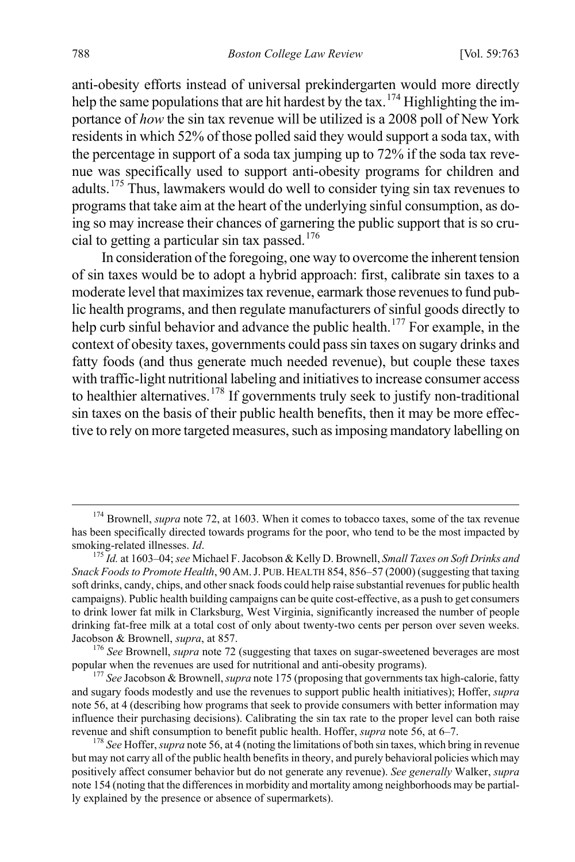anti-obesity efforts instead of universal prekindergarten would more directly help the same populations that are hit hardest by the tax.<sup>[174](#page-26-0)</sup> Highlighting the importance of *how* the sin tax revenue will be utilized is a 2008 poll of New York residents in which 52% of those polled said they would support a soda tax, with the percentage in support of a soda tax jumping up to 72% if the soda tax revenue was specifically used to support anti-obesity programs for children and adults.[175](#page-26-1) Thus, lawmakers would do well to consider tying sin tax revenues to programs that take aim at the heart of the underlying sinful consumption, as doing so may increase their chances of garnering the public support that is so cru-cial to getting a particular sin tax passed.<sup>[176](#page-26-2)</sup>

In consideration of the foregoing, one way to overcome the inherent tension of sin taxes would be to adopt a hybrid approach: first, calibrate sin taxes to a moderate level that maximizes tax revenue, earmark those revenues to fund public health programs, and then regulate manufacturers of sinful goods directly to help curb sinful behavior and advance the public health.<sup>[177](#page-26-3)</sup> For example, in the context of obesity taxes, governments could pass sin taxes on sugary drinks and fatty foods (and thus generate much needed revenue), but couple these taxes with traffic-light nutritional labeling and initiatives to increase consumer access to healthier alternatives.<sup>[178](#page-26-4)</sup> If governments truly seek to justify non-traditional sin taxes on the basis of their public health benefits, then it may be more effective to rely on more targeted measures, such as imposing mandatory labelling on

<span id="page-26-0"></span><sup>&</sup>lt;sup>174</sup> Brownell, *supra* note 72, at 1603. When it comes to tobacco taxes, some of the tax revenue has been specifically directed towards programs for the poor, who tend to be the most impacted by smoking-related illnesses. *Id*. 175 *Id.* at 1603–04; *see* Michael F. Jacobson & Kelly D. Brownell, *Small Taxes on Soft Drinks and* 

<span id="page-26-1"></span>*Snack Foods to Promote Health*, 90 AM.J. PUB. HEALTH 854, 856–57 (2000) (suggesting that taxing soft drinks, candy, chips, and other snack foods could help raise substantial revenues for public health campaigns). Public health building campaigns can be quite cost-effective, as a push to get consumers to drink lower fat milk in Clarksburg, West Virginia, significantly increased the number of people drinking fat-free milk at a total cost of only about twenty-two cents per person over seven weeks.

<span id="page-26-2"></span>Jacobson & Brownell, *supra*, at 857.<br><sup>176</sup> See Brownell, *supra* note 72 (suggesting that taxes on sugar-sweetened beverages are most popular when the revenues are used for nutritional and anti-obesity programs).

<span id="page-26-3"></span><sup>&</sup>lt;sup>177</sup> See Jacobson & Brownell, *supra* note 175 (proposing that governments tax high-calorie, fatty and sugary foods modestly and use the revenues to support public health initiatives); Hoffer, *supra*  note 56, at 4 (describing how programs that seek to provide consumers with better information may influence their purchasing decisions). Calibrating the sin tax rate to the proper level can both raise revenue and shift consumption to benefit public health. Hoffer, *supra* note 56, at 6–7. 178 *See* Hoffer, *supra* note 56, at 4 (noting the limitations of both sin taxes, which bring in revenue

<span id="page-26-4"></span>but may not carry all of the public health benefits in theory, and purely behavioral policies which may positively affect consumer behavior but do not generate any revenue). *See generally* Walker, *supra* note 154 (noting that the differences in morbidity and mortality among neighborhoods may be partially explained by the presence or absence of supermarkets).